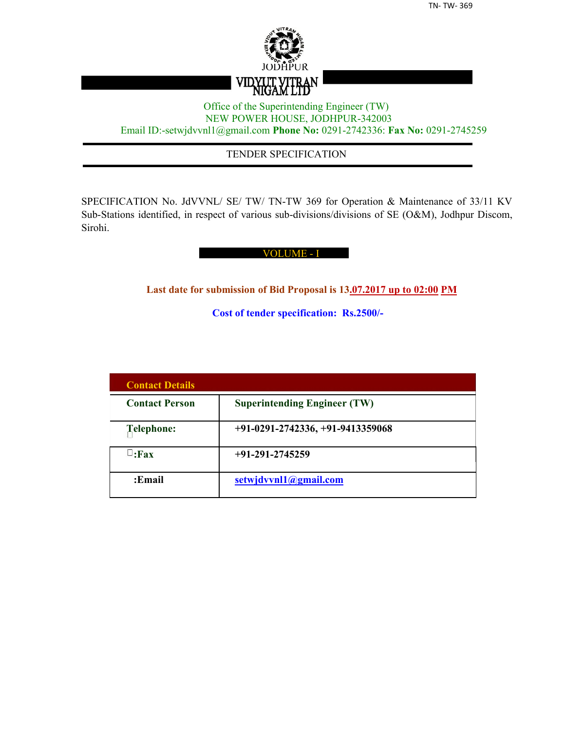

## Office of the Superintending Engineer (TW) NEW POWER HOUSE, JODHPUR-342003 Email ID:-setwjdvvnl1@gmail.com **Phone No:** 0291-2742336: **Fax No:** 0291-2745259

## TENDER SPECIFICATION

SPECIFICATION No. JdVVNL/ SE/ TW/ TN-TW 369 for Operation & Maintenance of 33/11 KV Sub-Stations identified, in respect of various sub-divisions/divisions of SE (O&M), Jodhpur Discom, Sirohi.

#### VOLUME - I

**Last date for submission of Bid Proposal is 13.07.2017 up to 02:00 PM**

**Cost of tender specification: Rs.2500/-**

| <b>Contact Details</b> |                                     |
|------------------------|-------------------------------------|
| <b>Contact Person</b>  | <b>Superintending Engineer (TW)</b> |
| Telephone:             | $+91-0291-2742336, +91-9413359068$  |
| $\sqcup$ :Fax          | $+91-291-2745259$                   |
| :Email                 | setwjdvvnl1@gmail.com               |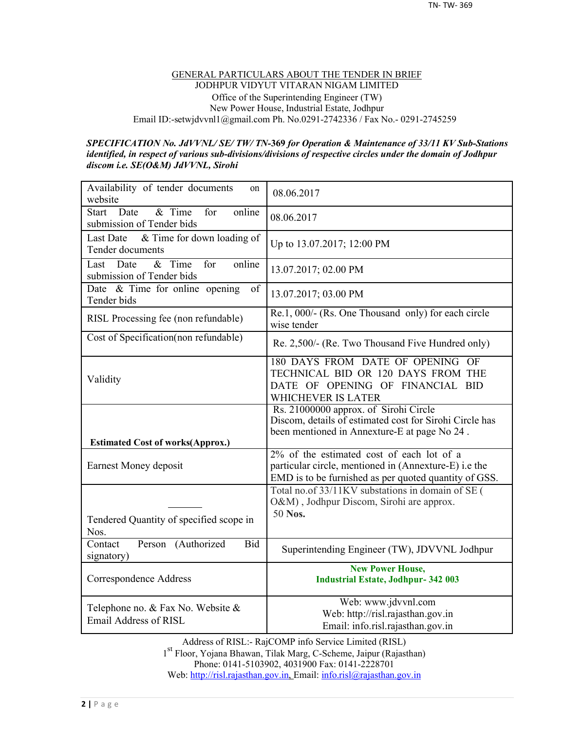#### GENERAL PARTICULARS ABOUT THE TENDER IN BRIEF JODHPUR VIDYUT VITARAN NIGAM LIMITED Office of the Superintending Engineer (TW) New Power House, Industrial Estate, Jodhpur Email ID:-setwjdvvnl1@gmail.com Ph. No.0291-2742336 / Fax No.- 0291-2745259

#### *SPECIFICATION No. JdVVNL/ SE/ TW/ TN-***369** *for Operation & Maintenance of 33/11 KV Sub-Stations identified, in respect of various sub-divisions/divisions of respective circles under the domain of Jodhpur discom i.e. SE(O&M) JdVVNL, Sirohi*

| Availability of tender documents<br>on<br>website                                  | 08.06.2017                                                                                                                                                  |
|------------------------------------------------------------------------------------|-------------------------------------------------------------------------------------------------------------------------------------------------------------|
| Date<br>$&$ Time<br>online<br><b>Start</b><br>for<br>submission of Tender bids     | 08.06.2017                                                                                                                                                  |
| & Time for down loading of<br><b>Last Date</b><br>Tender documents                 | Up to 13.07.2017; 12:00 PM                                                                                                                                  |
| online<br>$\overline{\&}$ Time<br>for<br>Date<br>Last<br>submission of Tender bids | 13.07.2017; 02.00 PM                                                                                                                                        |
| Date & Time for online opening<br>of<br>Tender bids                                | 13.07.2017; 03.00 PM                                                                                                                                        |
| RISL Processing fee (non refundable)                                               | Re.1, $000/-$ (Rs. One Thousand only) for each circle<br>wise tender                                                                                        |
| Cost of Specification(non refundable)                                              | Re. 2,500/- (Re. Two Thousand Five Hundred only)                                                                                                            |
| Validity                                                                           | 180 DAYS FROM DATE OF OPENING OF<br>TECHNICAL BID OR 120 DAYS FROM THE<br>DATE OF OPENING OF FINANCIAL BID<br>WHICHEVER IS LATER                            |
| <b>Estimated Cost of works(Approx.)</b>                                            | Rs. 21000000 approx. of Sirohi Circle<br>Discom, details of estimated cost for Sirohi Circle has<br>been mentioned in Annexture-E at page No 24.            |
|                                                                                    |                                                                                                                                                             |
| Earnest Money deposit                                                              | 2% of the estimated cost of each lot of a<br>particular circle, mentioned in (Annexture-E) i.e the<br>EMD is to be furnished as per quoted quantity of GSS. |
| Tendered Quantity of specified scope in<br>Nos.                                    | Total no.of 33/11KV substations in domain of SE (<br>O&M), Jodhpur Discom, Sirohi are approx.<br>50 Nos.                                                    |
| Contact<br>Person (Authorized<br><b>Bid</b><br>signatory)                          | Superintending Engineer (TW), JDVVNL Jodhpur                                                                                                                |
| Correspondence Address                                                             | <b>New Power House,</b><br><b>Industrial Estate, Jodhpur-342 003</b>                                                                                        |

Address of RISL:- RajCOMP info Service Limited (RISL) 1 st Floor, Yojana Bhawan, Tilak Marg, C-Scheme, Jaipur (Rajasthan) Phone: 0141-5103902, 4031900 Fax: 0141-2228701 Web: http://risl.rajasthan.gov.in, Email: info.risl@rajasthan.gov.in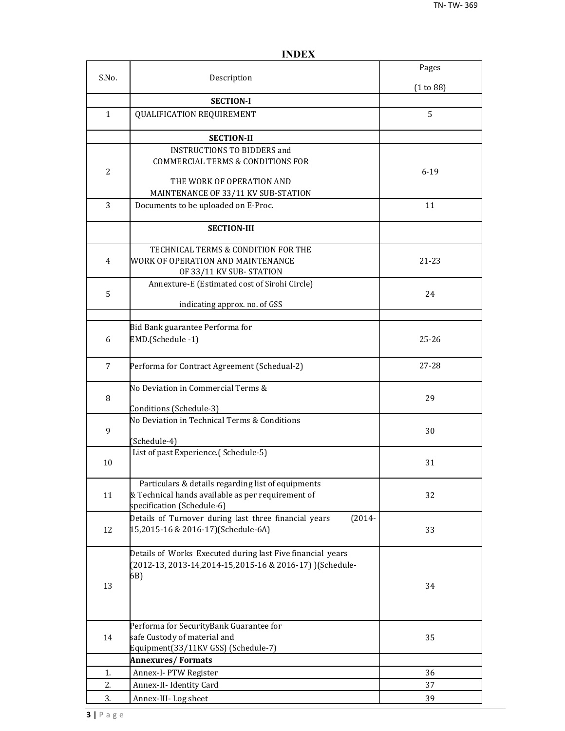|                |                                                                            | Pages     |
|----------------|----------------------------------------------------------------------------|-----------|
| S.No.          | Description                                                                | (1 to 88) |
|                | <b>SECTION-I</b>                                                           |           |
| 1              | <b>QUALIFICATION REQUIREMENT</b>                                           | 5         |
|                |                                                                            |           |
|                | <b>SECTION-II</b>                                                          |           |
|                | <b>INSTRUCTIONS TO BIDDERS and</b>                                         |           |
|                | <b>COMMERCIAL TERMS &amp; CONDITIONS FOR</b>                               |           |
| $\overline{2}$ |                                                                            | $6 - 19$  |
|                | THE WORK OF OPERATION AND                                                  |           |
| 3              | MAINTENANCE OF 33/11 KV SUB-STATION<br>Documents to be uploaded on E-Proc. | 11        |
|                |                                                                            |           |
|                | <b>SECTION-III</b>                                                         |           |
|                | TECHNICAL TERMS & CONDITION FOR THE                                        |           |
| 4              | WORK OF OPERATION AND MAINTENANCE                                          | 21-23     |
|                | OF 33/11 KV SUB-STATION                                                    |           |
|                | Annexture-E (Estimated cost of Sirohi Circle)                              |           |
| 5              |                                                                            | 24        |
|                | indicating approx. no. of GSS                                              |           |
|                | Bid Bank guarantee Performa for                                            |           |
| 6              | EMD.(Schedule -1)                                                          | $25 - 26$ |
|                |                                                                            |           |
| 7              | Performa for Contract Agreement (Schedual-2)                               | $27 - 28$ |
|                | No Deviation in Commercial Terms &                                         |           |
| 8              |                                                                            | 29        |
|                | Conditions (Schedule-3)                                                    |           |
| 9              | No Deviation in Technical Terms & Conditions                               | 30        |
|                | (Schedule-4)                                                               |           |
|                | List of past Experience.(Schedule-5)                                       |           |
| 10             |                                                                            | 31        |
|                | Particulars & details regarding list of equipments                         |           |
| 11             | & Technical hands available as per requirement of                          | 32        |
|                | specification (Schedule-6)                                                 |           |
|                | Details of Turnover during last three financial years<br>$(2014 -$         |           |
| 12             | 15,2015-16 & 2016-17)(Schedule-6A)                                         | 33        |
|                | Details of Works Executed during last Five financial years                 |           |
|                | (2012-13, 2013-14, 2014-15, 2015-16 & 2016-17) ) (Schedule-                |           |
|                | 6B)                                                                        |           |
| 13             |                                                                            | 34        |
|                |                                                                            |           |
|                | Performa for SecurityBank Guarantee for                                    |           |
| 14             | safe Custody of material and                                               | 35        |
|                | Equipment(33/11KV GSS) (Schedule-7)                                        |           |
|                | <b>Annexures/Formats</b>                                                   |           |
| 1.             | Annex-I- PTW Register                                                      | 36        |
| 2.             | Annex-II- Identity Card                                                    | 37        |
| 3.             | Annex-III-Log sheet                                                        | 39        |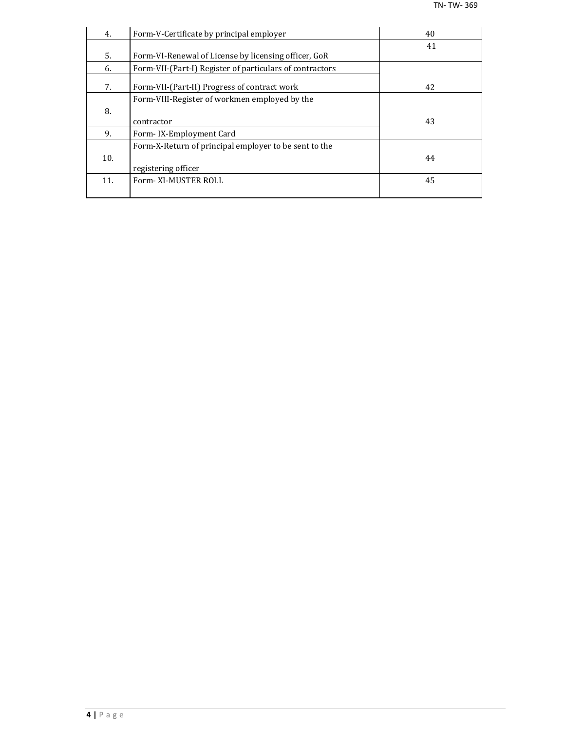| 4.  | Form-V-Certificate by principal employer                 | 40 |
|-----|----------------------------------------------------------|----|
|     |                                                          | 41 |
| 5.  | Form-VI-Renewal of License by licensing officer, GoR     |    |
| 6.  | Form-VII-(Part-I) Register of particulars of contractors |    |
| 7.  | Form-VII-(Part-II) Progress of contract work             | 42 |
|     | Form-VIII-Register of workmen employed by the            |    |
| 8.  |                                                          |    |
|     | contractor                                               | 43 |
| 9.  | Form-IX-Employment Card                                  |    |
|     | Form-X-Return of principal employer to be sent to the    |    |
| 10. |                                                          | 44 |
|     | registering officer                                      |    |
| 11. | Form-XI-MUSTER ROLL                                      | 45 |
|     |                                                          |    |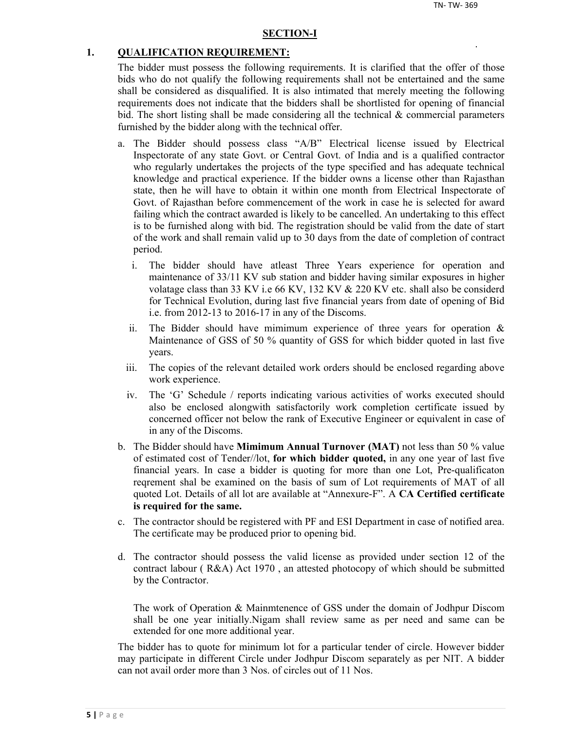#### **SECTION-I**

#### **1. QUALIFICATION REQUIREMENT:**

The bidder must possess the following requirements. It is clarified that the offer of those bids who do not qualify the following requirements shall not be entertained and the same shall be considered as disqualified. It is also intimated that merely meeting the following requirements does not indicate that the bidders shall be shortlisted for opening of financial bid. The short listing shall be made considering all the technical  $\&$  commercial parameters furnished by the bidder along with the technical offer.

- a. The Bidder should possess class "A/B" Electrical license issued by Electrical Inspectorate of any state Govt. or Central Govt. of India and is a qualified contractor who regularly undertakes the projects of the type specified and has adequate technical knowledge and practical experience. If the bidder owns a license other than Rajasthan state, then he will have to obtain it within one month from Electrical Inspectorate of Govt. of Rajasthan before commencement of the work in case he is selected for award failing which the contract awarded is likely to be cancelled. An undertaking to this effect is to be furnished along with bid. The registration should be valid from the date of start of the work and shall remain valid up to 30 days from the date of completion of contract period.
	- i. The bidder should have atleast Three Years experience for operation and maintenance of 33/11 KV sub station and bidder having similar exposures in higher volatage class than 33 KV i.e 66 KV, 132 KV & 220 KV etc. shall also be considerd for Technical Evolution, during last five financial years from date of opening of Bid i.e. from 2012-13 to 2016-17 in any of the Discoms.
	- ii. The Bidder should have mimimum experience of three years for operation  $\&$ Maintenance of GSS of 50 % quantity of GSS for which bidder quoted in last five years.
	- iii. The copies of the relevant detailed work orders should be enclosed regarding above work experience.
	- iv. The 'G' Schedule / reports indicating various activities of works executed should also be enclosed alongwith satisfactorily work completion certificate issued by concerned officer not below the rank of Executive Engineer or equivalent in case of in any of the Discoms.
- b. The Bidder should have **Mimimum Annual Turnover (MAT)** not less than 50 % value of estimated cost of Tender//lot, **for which bidder quoted,** in any one year of last five financial years. In case a bidder is quoting for more than one Lot, Pre-qualificaton reqrement shal be examined on the basis of sum of Lot requirements of MAT of all quoted Lot. Details of all lot are available at "Annexure-F". A **CA Certified certificate is required for the same.**
- c. The contractor should be registered with PF and ESI Department in case of notified area. The certificate may be produced prior to opening bid.
- d. The contractor should possess the valid license as provided under section 12 of the contract labour ( R&A) Act 1970 , an attested photocopy of which should be submitted by the Contractor.

The work of Operation & Mainmtenence of GSS under the domain of Jodhpur Discom shall be one year initially.Nigam shall review same as per need and same can be extended for one more additional year.

The bidder has to quote for minimum lot for a particular tender of circle. However bidder may participate in different Circle under Jodhpur Discom separately as per NIT. A bidder can not avail order more than 3 Nos. of circles out of 11 Nos.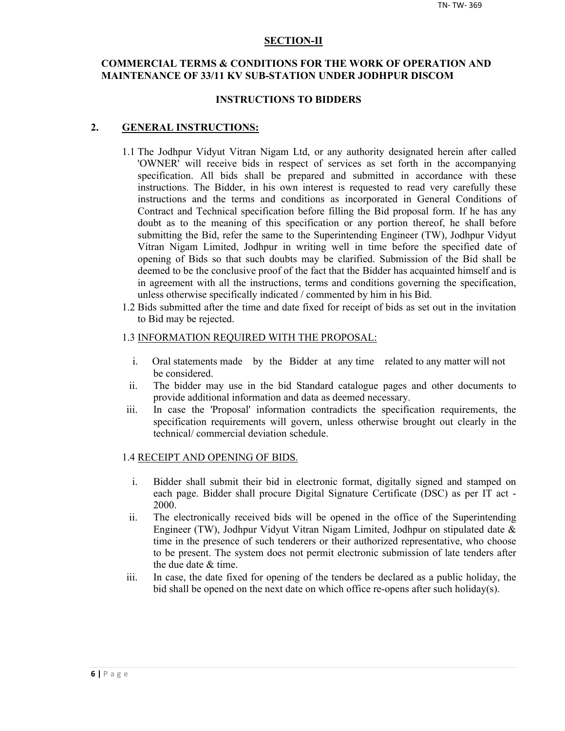#### **SECTION-II**

## **COMMERCIAL TERMS & CONDITIONS FOR THE WORK OF OPERATION AND MAINTENANCE OF 33/11 KV SUB-STATION UNDER JODHPUR DISCOM**

#### **INSTRUCTIONS TO BIDDERS**

#### **2. GENERAL INSTRUCTIONS:**

- 1.1 The Jodhpur Vidyut Vitran Nigam Ltd, or any authority designated herein after called 'OWNER' will receive bids in respect of services as set forth in the accompanying specification. All bids shall be prepared and submitted in accordance with these instructions. The Bidder, in his own interest is requested to read very carefully these instructions and the terms and conditions as incorporated in General Conditions of Contract and Technical specification before filling the Bid proposal form. If he has any doubt as to the meaning of this specification or any portion thereof, he shall before submitting the Bid, refer the same to the Superintending Engineer (TW), Jodhpur Vidyut Vitran Nigam Limited, Jodhpur in writing well in time before the specified date of opening of Bids so that such doubts may be clarified. Submission of the Bid shall be deemed to be the conclusive proof of the fact that the Bidder has acquainted himself and is in agreement with all the instructions, terms and conditions governing the specification, unless otherwise specifically indicated / commented by him in his Bid.
- 1.2 Bids submitted after the time and date fixed for receipt of bids as set out in the invitation to Bid may be rejected.

#### 1.3 INFORMATION REQUIRED WITH THE PROPOSAL:

- i. Oral statements made by the Bidder at any time related to any matter will not be considered.
- ii. The bidder may use in the bid Standard catalogue pages and other documents to provide additional information and data as deemed necessary.
- iii. In case the 'Proposal' information contradicts the specification requirements, the specification requirements will govern, unless otherwise brought out clearly in the technical/ commercial deviation schedule.

#### 1.4 RECEIPT AND OPENING OF BIDS.

- i. Bidder shall submit their bid in electronic format, digitally signed and stamped on each page. Bidder shall procure Digital Signature Certificate (DSC) as per IT act - 2000.
- ii. The electronically received bids will be opened in the office of the Superintending Engineer (TW), Jodhpur Vidyut Vitran Nigam Limited, Jodhpur on stipulated date & time in the presence of such tenderers or their authorized representative, who choose to be present. The system does not permit electronic submission of late tenders after the due date & time.
- iii. In case, the date fixed for opening of the tenders be declared as a public holiday, the bid shall be opened on the next date on which office re-opens after such holiday(s).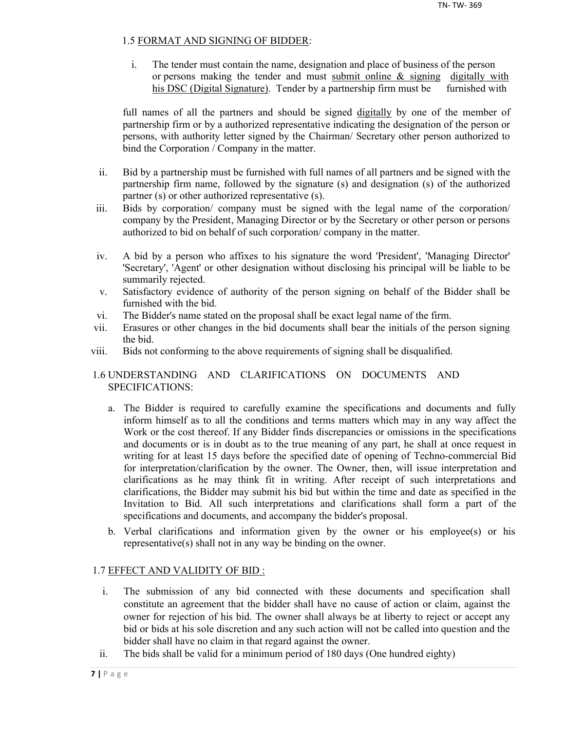## 1.5 FORMAT AND SIGNING OF BIDDER:

i. The tender must contain the name, designation and place of business of the person or persons making the tender and must submit online & signing digitally with his DSC (Digital Signature). Tender by a partnership firm must be furnished with

full names of all the partners and should be signed digitally by one of the member of partnership firm or by a authorized representative indicating the designation of the person or persons, with authority letter signed by the Chairman/ Secretary other person authorized to bind the Corporation / Company in the matter.

- ii. Bid by a partnership must be furnished with full names of all partners and be signed with the partnership firm name, followed by the signature (s) and designation (s) of the authorized partner (s) or other authorized representative (s).
- iii. Bids by corporation/ company must be signed with the legal name of the corporation/ company by the President, Managing Director or by the Secretary or other person or persons authorized to bid on behalf of such corporation/ company in the matter.
- iv. A bid by a person who affixes to his signature the word 'President', 'Managing Director' 'Secretary', 'Agent' or other designation without disclosing his principal will be liable to be summarily rejected.
- v. Satisfactory evidence of authority of the person signing on behalf of the Bidder shall be furnished with the bid.
- vi. The Bidder's name stated on the proposal shall be exact legal name of the firm.
- vii. Erasures or other changes in the bid documents shall bear the initials of the person signing the bid.
- viii. Bids not conforming to the above requirements of signing shall be disqualified.

## 1.6 UNDERSTANDING AND CLARIFICATIONS ON DOCUMENTS AND SPECIFICATIONS:

- a. The Bidder is required to carefully examine the specifications and documents and fully inform himself as to all the conditions and terms matters which may in any way affect the Work or the cost thereof. If any Bidder finds discrepancies or omissions in the specifications and documents or is in doubt as to the true meaning of any part, he shall at once request in writing for at least 15 days before the specified date of opening of Techno-commercial Bid for interpretation/clarification by the owner. The Owner, then, will issue interpretation and clarifications as he may think fit in writing. After receipt of such interpretations and clarifications, the Bidder may submit his bid but within the time and date as specified in the Invitation to Bid. All such interpretations and clarifications shall form a part of the specifications and documents, and accompany the bidder's proposal.
- b. Verbal clarifications and information given by the owner or his employee(s) or his representative(s) shall not in any way be binding on the owner.

## 1.7 EFFECT AND VALIDITY OF BID :

- i. The submission of any bid connected with these documents and specification shall constitute an agreement that the bidder shall have no cause of action or claim, against the owner for rejection of his bid. The owner shall always be at liberty to reject or accept any bid or bids at his sole discretion and any such action will not be called into question and the bidder shall have no claim in that regard against the owner.
- ii. The bids shall be valid for a minimum period of 180 days (One hundred eighty)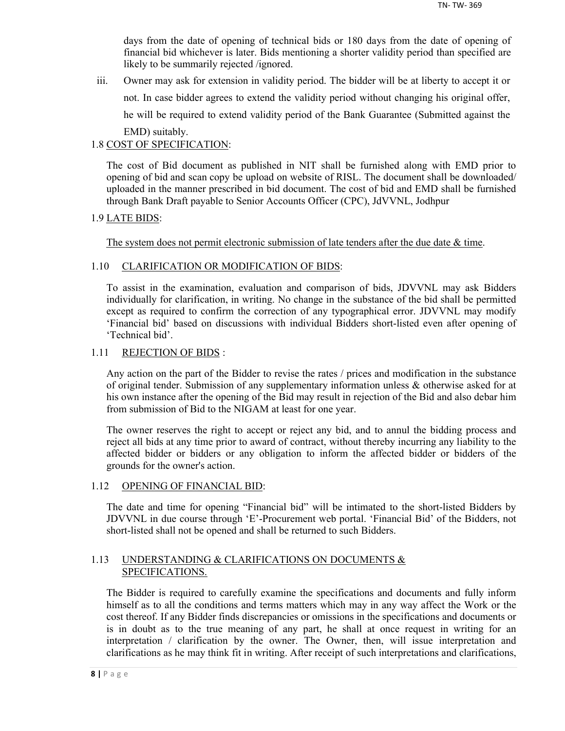days from the date of opening of technical bids or 180 days from the date of opening of financial bid whichever is later. Bids mentioning a shorter validity period than specified are likely to be summarily rejected /ignored.

iii. Owner may ask for extension in validity period. The bidder will be at liberty to accept it or not. In case bidder agrees to extend the validity period without changing his original offer, he will be required to extend validity period of the Bank Guarantee (Submitted against the EMD) suitably.

## 1.8 COST OF SPECIFICATION:

The cost of Bid document as published in NIT shall be furnished along with EMD prior to opening of bid and scan copy be upload on website of RISL. The document shall be downloaded/ uploaded in the manner prescribed in bid document. The cost of bid and EMD shall be furnished through Bank Draft payable to Senior Accounts Officer (CPC), JdVVNL, Jodhpur

## 1.9 LATE BIDS:

The system does not permit electronic submission of late tenders after the due date  $\&$  time.

## 1.10 CLARIFICATION OR MODIFICATION OF BIDS:

To assist in the examination, evaluation and comparison of bids, JDVVNL may ask Bidders individually for clarification, in writing. No change in the substance of the bid shall be permitted except as required to confirm the correction of any typographical error. JDVVNL may modify 'Financial bid' based on discussions with individual Bidders short-listed even after opening of 'Technical bid'.

## 1.11 REJECTION OF BIDS :

Any action on the part of the Bidder to revise the rates / prices and modification in the substance of original tender. Submission of any supplementary information unless & otherwise asked for at his own instance after the opening of the Bid may result in rejection of the Bid and also debar him from submission of Bid to the NIGAM at least for one year.

The owner reserves the right to accept or reject any bid, and to annul the bidding process and reject all bids at any time prior to award of contract, without thereby incurring any liability to the affected bidder or bidders or any obligation to inform the affected bidder or bidders of the grounds for the owner's action.

#### 1.12 OPENING OF FINANCIAL BID:

The date and time for opening "Financial bid" will be intimated to the short-listed Bidders by JDVVNL in due course through 'E'-Procurement web portal. 'Financial Bid' of the Bidders, not short-listed shall not be opened and shall be returned to such Bidders.

## 1.13 UNDERSTANDING & CLARIFICATIONS ON DOCUMENTS & SPECIFICATIONS.

The Bidder is required to carefully examine the specifications and documents and fully inform himself as to all the conditions and terms matters which may in any way affect the Work or the cost thereof. If any Bidder finds discrepancies or omissions in the specifications and documents or is in doubt as to the true meaning of any part, he shall at once request in writing for an interpretation / clarification by the owner. The Owner, then, will issue interpretation and clarifications as he may think fit in writing. After receipt of such interpretations and clarifications,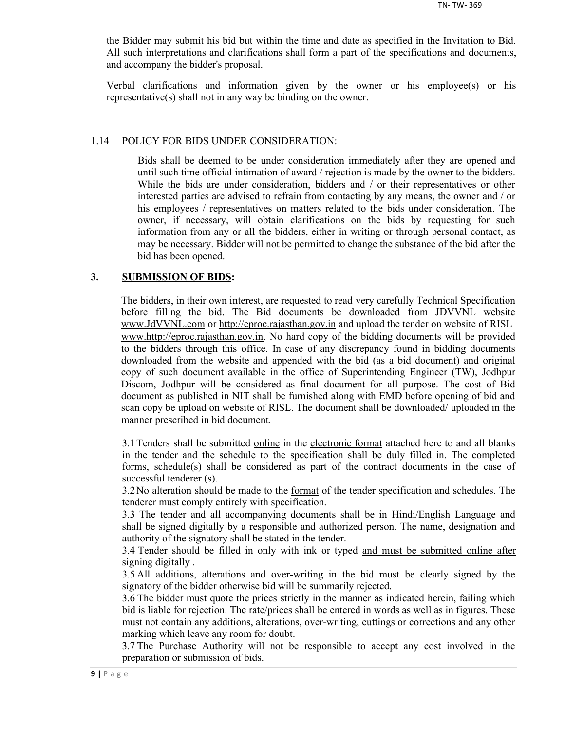the Bidder may submit his bid but within the time and date as specified in the Invitation to Bid. All such interpretations and clarifications shall form a part of the specifications and documents, and accompany the bidder's proposal.

Verbal clarifications and information given by the owner or his employee(s) or his representative(s) shall not in any way be binding on the owner.

#### 1.14 POLICY FOR BIDS UNDER CONSIDERATION:

Bids shall be deemed to be under consideration immediately after they are opened and until such time official intimation of award / rejection is made by the owner to the bidders. While the bids are under consideration, bidders and / or their representatives or other interested parties are advised to refrain from contacting by any means, the owner and / or his employees / representatives on matters related to the bids under consideration. The owner, if necessary, will obtain clarifications on the bids by requesting for such information from any or all the bidders, either in writing or through personal contact, as may be necessary. Bidder will not be permitted to change the substance of the bid after the bid has been opened.

#### **3. SUBMISSION OF BIDS:**

The bidders, in their own interest, are requested to read very carefully Technical Specification before filling the bid. The Bid documents be downloaded from JDVVNL website www.JdVVNL.com or http://eproc.rajasthan.gov.in and upload the tender on website of RISL www.http://eproc.rajasthan.gov.in. No hard copy of the bidding documents will be provided to the bidders through this office. In case of any discrepancy found in bidding documents downloaded from the website and appended with the bid (as a bid document) and original copy of such document available in the office of Superintending Engineer (TW), Jodhpur Discom, Jodhpur will be considered as final document for all purpose. The cost of Bid document as published in NIT shall be furnished along with EMD before opening of bid and scan copy be upload on website of RISL. The document shall be downloaded/ uploaded in the manner prescribed in bid document.

3.1 Tenders shall be submitted online in the electronic format attached here to and all blanks in the tender and the schedule to the specification shall be duly filled in. The completed forms, schedule(s) shall be considered as part of the contract documents in the case of successful tenderer (s).

3.2 No alteration should be made to the <u>format</u> of the tender specification and schedules. The tenderer must comply entirely with specification.

3.3 The tender and all accompanying documents shall be in Hindi/English Language and shall be signed digitally by a responsible and authorized person. The name, designation and authority of the signatory shall be stated in the tender.

3.4 Tender should be filled in only with ink or typed and must be submitted online after signing digitally .

3.5 All additions, alterations and over-writing in the bid must be clearly signed by the signatory of the bidder otherwise bid will be summarily rejected.

3.6 The bidder must quote the prices strictly in the manner as indicated herein, failing which bid is liable for rejection. The rate/prices shall be entered in words as well as in figures. These must not contain any additions, alterations, over-writing, cuttings or corrections and any other marking which leave any room for doubt.

3.7 The Purchase Authority will not be responsible to accept any cost involved in the preparation or submission of bids.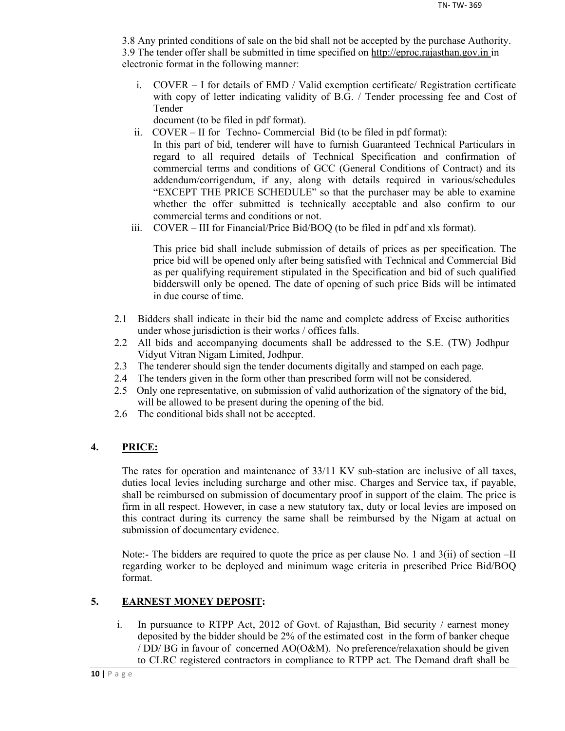3.8 Any printed conditions of sale on the bid shall not be accepted by the purchase Authority. 3.9 The tender offer shall be submitted in time specified on http://eproc.rajasthan.gov.in in electronic format in the following manner:

i. COVER – I for details of EMD / Valid exemption certificate/ Registration certificate with copy of letter indicating validity of B.G. / Tender processing fee and Cost of Tender

document (to be filed in pdf format).

- ii. COVER II for Techno- Commercial Bid (to be filed in pdf format): In this part of bid, tenderer will have to furnish Guaranteed Technical Particulars in regard to all required details of Technical Specification and confirmation of commercial terms and conditions of GCC (General Conditions of Contract) and its addendum/corrigendum, if any, along with details required in various/schedules "EXCEPT THE PRICE SCHEDULE" so that the purchaser may be able to examine whether the offer submitted is technically acceptable and also confirm to our commercial terms and conditions or not.
- iii. COVER III for Financial/Price Bid/BOQ (to be filed in pdf and xls format).

This price bid shall include submission of details of prices as per specification. The price bid will be opened only after being satisfied with Technical and Commercial Bid as per qualifying requirement stipulated in the Specification and bid of such qualified bidderswill only be opened. The date of opening of such price Bids will be intimated in due course of time.

- 2.1 Bidders shall indicate in their bid the name and complete address of Excise authorities under whose jurisdiction is their works / offices falls.
- 2.2 All bids and accompanying documents shall be addressed to the S.E. (TW) Jodhpur Vidyut Vitran Nigam Limited, Jodhpur.
- 2.3 The tenderer should sign the tender documents digitally and stamped on each page.
- 2.4 The tenders given in the form other than prescribed form will not be considered.
- 2.5 Only one representative, on submission of valid authorization of the signatory of the bid, will be allowed to be present during the opening of the bid.
- 2.6 The conditional bids shall not be accepted.

## **4. PRICE:**

The rates for operation and maintenance of 33/11 KV sub-station are inclusive of all taxes, duties local levies including surcharge and other misc. Charges and Service tax, if payable, shall be reimbursed on submission of documentary proof in support of the claim. The price is firm in all respect. However, in case a new statutory tax, duty or local levies are imposed on this contract during its currency the same shall be reimbursed by the Nigam at actual on submission of documentary evidence.

Note:- The bidders are required to quote the price as per clause No. 1 and 3(ii) of section –II regarding worker to be deployed and minimum wage criteria in prescribed Price Bid/BOQ format.

## **5. EARNEST MONEY DEPOSIT:**

i. In pursuance to RTPP Act, 2012 of Govt. of Rajasthan, Bid security / earnest money deposited by the bidder should be 2% of the estimated cost in the form of banker cheque / DD/ BG in favour of concerned AO(O&M). No preference/relaxation should be given to CLRC registered contractors in compliance to RTPP act. The Demand draft shall be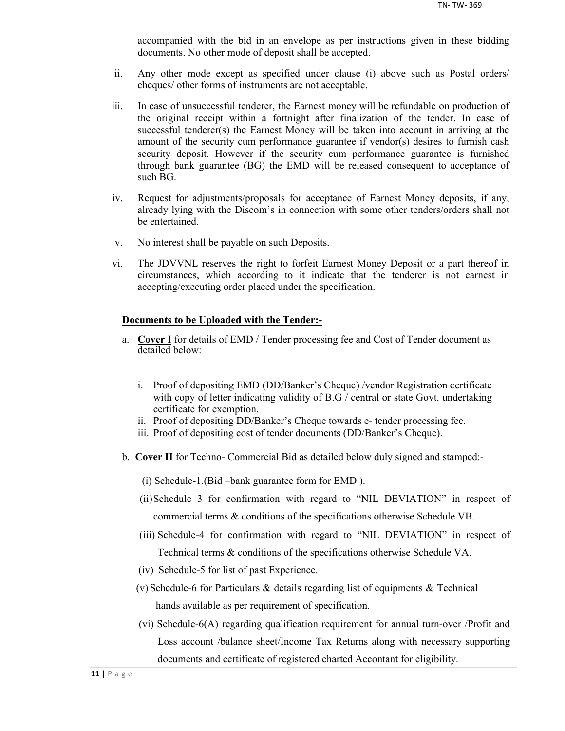accompanied with the bid in an envelope as per instructions given in these bidding documents. No other mode of deposit shall be accepted.

- ii. Any other mode except as specified under clause (i) above such as Postal orders/ cheques/ other forms of instruments are not acceptable.
- iii. In case of unsuccessful tenderer, the Earnest money will be refundable on production of the original receipt within a fortnight after finalization of the tender. In case of successful tenderer(s) the Earnest Money will be taken into account in arriving at the amount of the security cum performance guarantee if vendor(s) desires to furnish cash security deposit. However if the security cum performance guarantee is furnished through bank guarantee (BG) the EMD will be released consequent to acceptance of such BG.
- iv. Request for adjustments/proposals for acceptance of Earnest Money deposits, if any, already lying with the Discom's in connection with some other tenders/orders shall not be entertained.
- v. No interest shall be payable on such Deposits.
- vi. The JDVVNL reserves the right to forfeit Earnest Money Deposit or a part thereof in circumstances, which according to it indicate that the tenderer is not earnest in accepting/executing order placed under the specification.

#### **Documents to be Uploaded with the Tender:-**

- a. **Cover I** for details of EMD / Tender processing fee and Cost of Tender document as detailed below:
	- i. Proof of depositing EMD (DD/Banker's Cheque) /vendor Registration certificate with copy of letter indicating validity of B.G / central or state Govt. undertaking certificate for exemption.
	- ii. Proof of depositing DD/Banker's Cheque towards e- tender processing fee.
	- iii. Proof of depositing cost of tender documents (DD/Banker's Cheque).
- b. **Cover II** for Techno- Commercial Bid as detailed below duly signed and stamped:-
	- (i) Schedule-1.(Bid –bank guarantee form for EMD ).
	- (ii)Schedule 3 for confirmation with regard to "NIL DEVIATION" in respect of commercial terms & conditions of the specifications otherwise Schedule VB.
	- (iii) Schedule-4 for confirmation with regard to "NIL DEVIATION" in respect of Technical terms & conditions of the specifications otherwise Schedule VA.
	- (iv) Schedule-5 for list of past Experience.
	- (v) Schedule-6 for Particulars & details regarding list of equipments & Technical hands available as per requirement of specification.
	- (vi) Schedule-6(A) regarding qualification requirement for annual turn-over /Profit and Loss account /balance sheet/Income Tax Returns along with necessary supporting documents and certificate of registered charted Accontant for eligibility.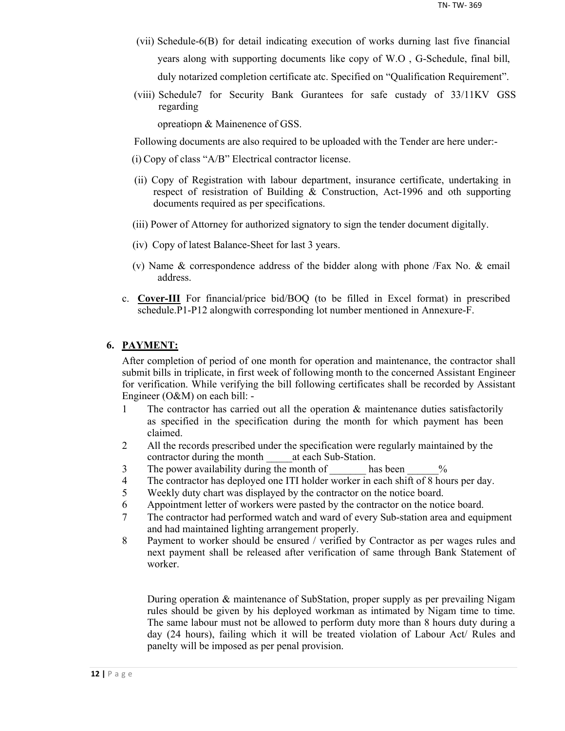- (vii) Schedule-6(B) for detail indicating execution of works durning last five financial years along with supporting documents like copy of W.O , G-Schedule, final bill, duly notarized completion certificate atc. Specified on "Qualification Requirement".
- (viii) Schedule7 for Security Bank Gurantees for safe custady of 33/11KV GSS regarding

opreatiopn & Mainenence of GSS.

Following documents are also required to be uploaded with the Tender are here under:-

- (i) Copy of class "A/B" Electrical contractor license.
- (ii) Copy of Registration with labour department, insurance certificate, undertaking in respect of resistration of Building & Construction, Act-1996 and oth supporting documents required as per specifications.
- (iii) Power of Attorney for authorized signatory to sign the tender document digitally.
- (iv) Copy of latest Balance-Sheet for last 3 years.
- (v) Name & correspondence address of the bidder along with phone /Fax No. & email address.
- c. **Cover-III** For financial/price bid/BOQ (to be filled in Excel format) in prescribed schedule.P1-P12 alongwith corresponding lot number mentioned in Annexure-F.

#### **6. PAYMENT:**

After completion of period of one month for operation and maintenance, the contractor shall submit bills in triplicate, in first week of following month to the concerned Assistant Engineer for verification. While verifying the bill following certificates shall be recorded by Assistant Engineer (O&M) on each bill: -

- 1 The contractor has carried out all the operation & maintenance duties satisfactorily as specified in the specification during the month for which payment has been claimed.
- 2 All the records prescribed under the specification were regularly maintained by the contractor during the month at each Sub-Station.
- 3 The power availability during the month of has been  $\%$
- 4 The contractor has deployed one ITI holder worker in each shift of 8 hours per day.
- 5 Weekly duty chart was displayed by the contractor on the notice board.
- 6 Appointment letter of workers were pasted by the contractor on the notice board.
- 7 The contractor had performed watch and ward of every Sub-station area and equipment and had maintained lighting arrangement properly.
- 8 Payment to worker should be ensured / verified by Contractor as per wages rules and next payment shall be released after verification of same through Bank Statement of worker.

During operation & maintenance of SubStation, proper supply as per prevailing Nigam rules should be given by his deployed workman as intimated by Nigam time to time. The same labour must not be allowed to perform duty more than 8 hours duty during a day (24 hours), failing which it will be treated violation of Labour Act/ Rules and panelty will be imposed as per penal provision.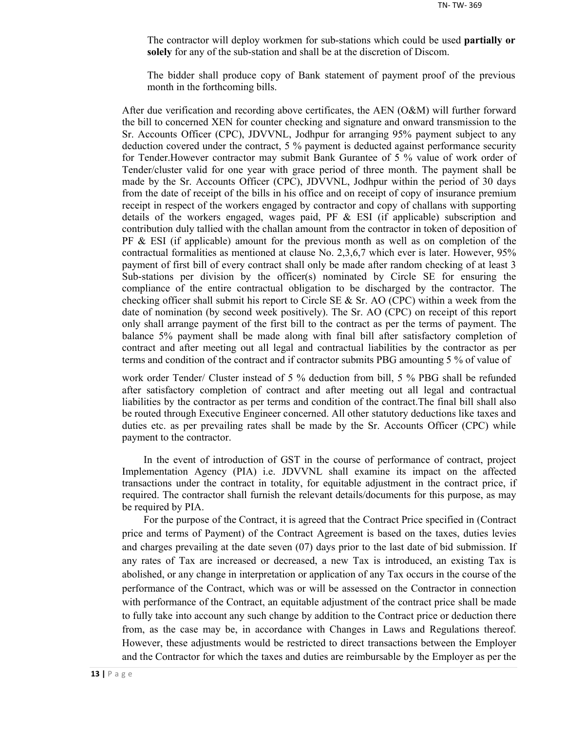The contractor will deploy workmen for sub-stations which could be used **partially or solely** for any of the sub-station and shall be at the discretion of Discom.

The bidder shall produce copy of Bank statement of payment proof of the previous month in the forthcoming bills.

After due verification and recording above certificates, the AEN (O&M) will further forward the bill to concerned XEN for counter checking and signature and onward transmission to the Sr. Accounts Officer (CPC), JDVVNL, Jodhpur for arranging 95% payment subject to any deduction covered under the contract, 5 % payment is deducted against performance security for Tender.However contractor may submit Bank Gurantee of 5 % value of work order of Tender/cluster valid for one year with grace period of three month. The payment shall be made by the Sr. Accounts Officer (CPC), JDVVNL, Jodhpur within the period of 30 days from the date of receipt of the bills in his office and on receipt of copy of insurance premium receipt in respect of the workers engaged by contractor and copy of challans with supporting details of the workers engaged, wages paid, PF  $\&$  ESI (if applicable) subscription and contribution duly tallied with the challan amount from the contractor in token of deposition of  $PF \& ESI$  (if applicable) amount for the previous month as well as on completion of the contractual formalities as mentioned at clause No. 2,3,6,7 which ever is later. However, 95% payment of first bill of every contract shall only be made after random checking of at least 3 Sub-stations per division by the officer(s) nominated by Circle SE for ensuring the compliance of the entire contractual obligation to be discharged by the contractor. The checking officer shall submit his report to Circle SE  $\&$  Sr. AO (CPC) within a week from the date of nomination (by second week positively). The Sr. AO (CPC) on receipt of this report only shall arrange payment of the first bill to the contract as per the terms of payment. The balance 5% payment shall be made along with final bill after satisfactory completion of contract and after meeting out all legal and contractual liabilities by the contractor as per terms and condition of the contract and if contractor submits PBG amounting 5 % of value of

work order Tender/ Cluster instead of 5 % deduction from bill, 5 % PBG shall be refunded after satisfactory completion of contract and after meeting out all legal and contractual liabilities by the contractor as per terms and condition of the contract.The final bill shall also be routed through Executive Engineer concerned. All other statutory deductions like taxes and duties etc. as per prevailing rates shall be made by the Sr. Accounts Officer (CPC) while payment to the contractor.

In the event of introduction of GST in the course of performance of contract, project Implementation Agency (PIA) i.e. JDVVNL shall examine its impact on the affected transactions under the contract in totality, for equitable adjustment in the contract price, if required. The contractor shall furnish the relevant details/documents for this purpose, as may be required by PIA.

For the purpose of the Contract, it is agreed that the Contract Price specified in (Contract price and terms of Payment) of the Contract Agreement is based on the taxes, duties levies and charges prevailing at the date seven (07) days prior to the last date of bid submission. If any rates of Tax are increased or decreased, a new Tax is introduced, an existing Tax is abolished, or any change in interpretation or application of any Tax occurs in the course of the performance of the Contract, which was or will be assessed on the Contractor in connection with performance of the Contract, an equitable adjustment of the contract price shall be made to fully take into account any such change by addition to the Contract price or deduction there from, as the case may be, in accordance with Changes in Laws and Regulations thereof. However, these adjustments would be restricted to direct transactions between the Employer and the Contractor for which the taxes and duties are reimbursable by the Employer as per the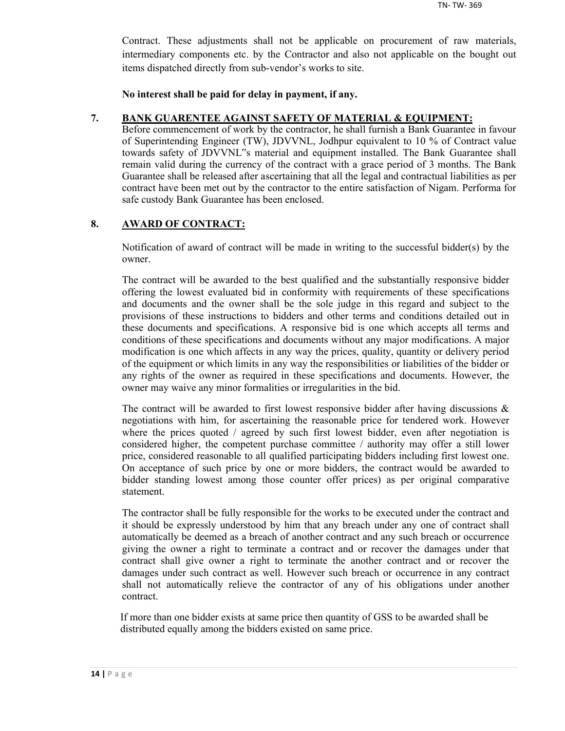Contract. These adjustments shall not be applicable on procurement of raw materials, intermediary components etc. by the Contractor and also not applicable on the bought out items dispatched directly from sub-vendor's works to site.

**No interest shall be paid for delay in payment, if any.**

#### **7. BANK GUARENTEE AGAINST SAFETY OF MATERIAL & EQUIPMENT:**

Before commencement of work by the contractor, he shall furnish a Bank Guarantee in favour of Superintending Engineer (TW), JDVVNL, Jodhpur equivalent to 10 % of Contract value towards safety of JDVVNL"s material and equipment installed. The Bank Guarantee shall remain valid during the currency of the contract with a grace period of 3 months. The Bank Guarantee shall be released after ascertaining that all the legal and contractual liabilities as per contract have been met out by the contractor to the entire satisfaction of Nigam. Performa for safe custody Bank Guarantee has been enclosed.

## **8. AWARD OF CONTRACT:**

Notification of award of contract will be made in writing to the successful bidder(s) by the owner.

The contract will be awarded to the best qualified and the substantially responsive bidder offering the lowest evaluated bid in conformity with requirements of these specifications and documents and the owner shall be the sole judge in this regard and subject to the provisions of these instructions to bidders and other terms and conditions detailed out in these documents and specifications. A responsive bid is one which accepts all terms and conditions of these specifications and documents without any major modifications. A major modification is one which affects in any way the prices, quality, quantity or delivery period of the equipment or which limits in any way the responsibilities or liabilities of the bidder or any rights of the owner as required in these specifications and documents. However, the owner may waive any minor formalities or irregularities in the bid.

The contract will be awarded to first lowest responsive bidder after having discussions  $\&$ negotiations with him, for ascertaining the reasonable price for tendered work. However where the prices quoted / agreed by such first lowest bidder, even after negotiation is considered higher, the competent purchase committee / authority may offer a still lower price, considered reasonable to all qualified participating bidders including first lowest one. On acceptance of such price by one or more bidders, the contract would be awarded to bidder standing lowest among those counter offer prices) as per original comparative statement.

The contractor shall be fully responsible for the works to be executed under the contract and it should be expressly understood by him that any breach under any one of contract shall automatically be deemed as a breach of another contract and any such breach or occurrence giving the owner a right to terminate a contract and or recover the damages under that contract shall give owner a right to terminate the another contract and or recover the damages under such contract as well. However such breach or occurrence in any contract shall not automatically relieve the contractor of any of his obligations under another contract.

If more than one bidder exists at same price then quantity of GSS to be awarded shall be distributed equally among the bidders existed on same price.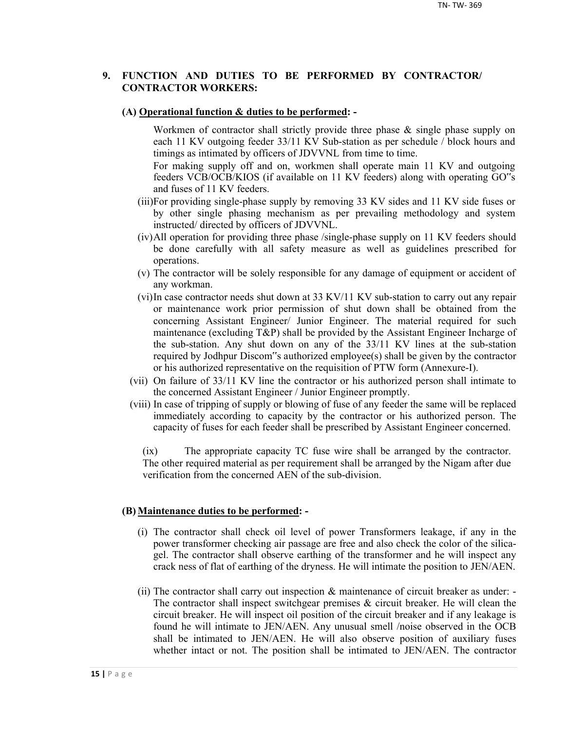#### **9. FUNCTION AND DUTIES TO BE PERFORMED BY CONTRACTOR/ CONTRACTOR WORKERS:**

#### **(A) Operational function & duties to be performed: -**

Workmen of contractor shall strictly provide three phase & single phase supply on each 11 KV outgoing feeder 33/11 KV Sub-station as per schedule / block hours and timings as intimated by officers of JDVVNL from time to time.

For making supply off and on, workmen shall operate main 11 KV and outgoing feeders VCB/OCB/KIOS (if available on 11 KV feeders) along with operating GO"s and fuses of 11 KV feeders.

- (iii)For providing single-phase supply by removing 33 KV sides and 11 KV side fuses or by other single phasing mechanism as per prevailing methodology and system instructed/ directed by officers of JDVVNL.
- (iv)All operation for providing three phase /single-phase supply on 11 KV feeders should be done carefully with all safety measure as well as guidelines prescribed for operations.
- (v) The contractor will be solely responsible for any damage of equipment or accident of any workman.
- (vi)In case contractor needs shut down at 33 KV/11 KV sub-station to carry out any repair or maintenance work prior permission of shut down shall be obtained from the concerning Assistant Engineer/ Junior Engineer. The material required for such maintenance (excluding T&P) shall be provided by the Assistant Engineer Incharge of the sub-station. Any shut down on any of the 33/11 KV lines at the sub-station required by Jodhpur Discom"s authorized employee(s) shall be given by the contractor or his authorized representative on the requisition of PTW form (Annexure-I).
- (vii) On failure of 33/11 KV line the contractor or his authorized person shall intimate to the concerned Assistant Engineer / Junior Engineer promptly.
- (viii) In case of tripping of supply or blowing of fuse of any feeder the same will be replaced immediately according to capacity by the contractor or his authorized person. The capacity of fuses for each feeder shall be prescribed by Assistant Engineer concerned.

(ix) The appropriate capacity TC fuse wire shall be arranged by the contractor. The other required material as per requirement shall be arranged by the Nigam after due verification from the concerned AEN of the sub-division.

#### **(B) Maintenance duties to be performed: -**

- (i) The contractor shall check oil level of power Transformers leakage, if any in the power transformer checking air passage are free and also check the color of the silicagel. The contractor shall observe earthing of the transformer and he will inspect any crack ness of flat of earthing of the dryness. He will intimate the position to JEN/AEN.
- (ii) The contractor shall carry out inspection & maintenance of circuit breaker as under: The contractor shall inspect switchgear premises  $\&$  circuit breaker. He will clean the circuit breaker. He will inspect oil position of the circuit breaker and if any leakage is found he will intimate to JEN/AEN. Any unusual smell /noise observed in the OCB shall be intimated to JEN/AEN. He will also observe position of auxiliary fuses whether intact or not. The position shall be intimated to JEN/AEN. The contractor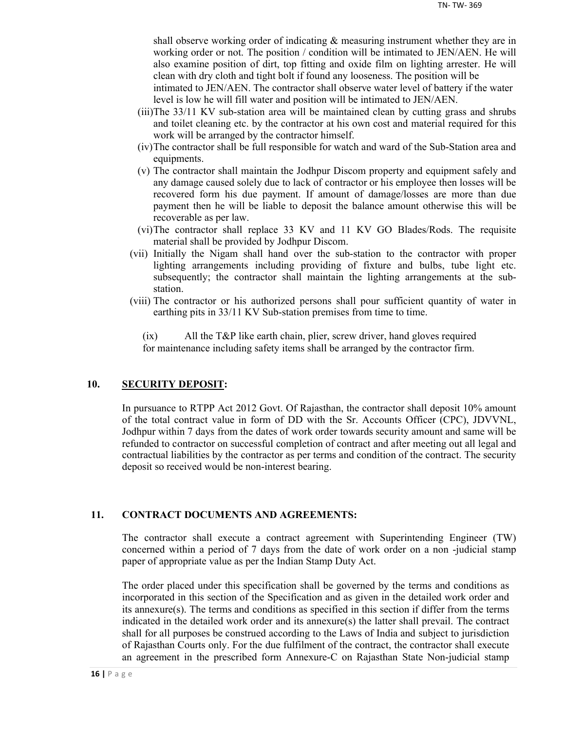shall observe working order of indicating & measuring instrument whether they are in working order or not. The position / condition will be intimated to JEN/AEN. He will also examine position of dirt, top fitting and oxide film on lighting arrester. He will clean with dry cloth and tight bolt if found any looseness. The position will be

intimated to JEN/AEN. The contractor shall observe water level of battery if the water level is low he will fill water and position will be intimated to JEN/AEN.

- (iii)The 33/11 KV sub-station area will be maintained clean by cutting grass and shrubs and toilet cleaning etc. by the contractor at his own cost and material required for this work will be arranged by the contractor himself.
- (iv)The contractor shall be full responsible for watch and ward of the Sub-Station area and equipments.
- (v) The contractor shall maintain the Jodhpur Discom property and equipment safely and any damage caused solely due to lack of contractor or his employee then losses will be recovered form his due payment. If amount of damage/losses are more than due payment then he will be liable to deposit the balance amount otherwise this will be recoverable as per law.
- (vi)The contractor shall replace 33 KV and 11 KV GO Blades/Rods. The requisite material shall be provided by Jodhpur Discom.
- (vii) Initially the Nigam shall hand over the sub-station to the contractor with proper lighting arrangements including providing of fixture and bulbs, tube light etc. subsequently; the contractor shall maintain the lighting arrangements at the substation.
- (viii) The contractor or his authorized persons shall pour sufficient quantity of water in earthing pits in 33/11 KV Sub-station premises from time to time.

(ix) All the T&P like earth chain, plier, screw driver, hand gloves required for maintenance including safety items shall be arranged by the contractor firm.

## **10. SECURITY DEPOSIT:**

In pursuance to RTPP Act 2012 Govt. Of Rajasthan, the contractor shall deposit 10% amount of the total contract value in form of DD with the Sr. Accounts Officer (CPC), JDVVNL, Jodhpur within 7 days from the dates of work order towards security amount and same will be refunded to contractor on successful completion of contract and after meeting out all legal and contractual liabilities by the contractor as per terms and condition of the contract. The security deposit so received would be non-interest bearing.

## **11. CONTRACT DOCUMENTS AND AGREEMENTS:**

The contractor shall execute a contract agreement with Superintending Engineer (TW) concerned within a period of 7 days from the date of work order on a non -judicial stamp paper of appropriate value as per the Indian Stamp Duty Act.

The order placed under this specification shall be governed by the terms and conditions as incorporated in this section of the Specification and as given in the detailed work order and its annexure(s). The terms and conditions as specified in this section if differ from the terms indicated in the detailed work order and its annexure(s) the latter shall prevail. The contract shall for all purposes be construed according to the Laws of India and subject to jurisdiction of Rajasthan Courts only. For the due fulfilment of the contract, the contractor shall execute an agreement in the prescribed form Annexure-C on Rajasthan State Non-judicial stamp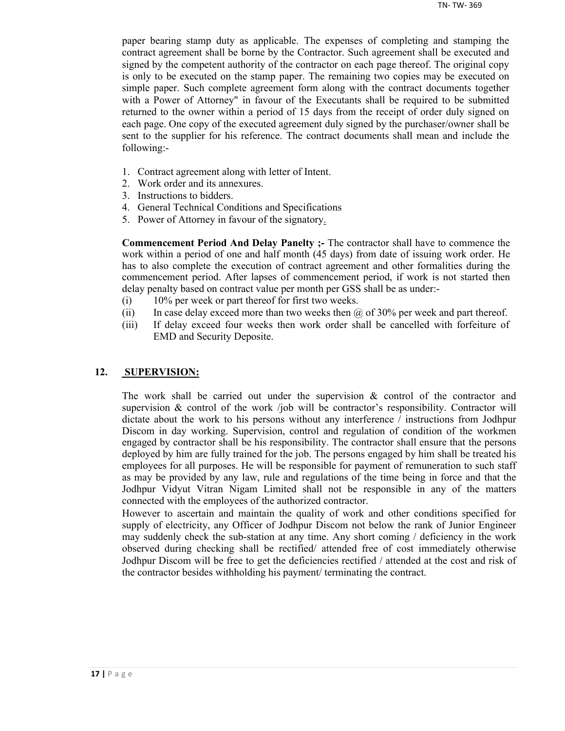paper bearing stamp duty as applicable. The expenses of completing and stamping the contract agreement shall be borne by the Contractor. Such agreement shall be executed and signed by the competent authority of the contractor on each page thereof. The original copy is only to be executed on the stamp paper. The remaining two copies may be executed on simple paper. Such complete agreement form along with the contract documents together with a Power of Attorney" in favour of the Executants shall be required to be submitted returned to the owner within a period of 15 days from the receipt of order duly signed on each page. One copy of the executed agreement duly signed by the purchaser/owner shall be sent to the supplier for his reference. The contract documents shall mean and include the following:-

- 1. Contract agreement along with letter of Intent.
- 2. Work order and its annexures.
- 3. Instructions to bidders.
- 4. General Technical Conditions and Specifications
- 5. Power of Attorney in favour of the signatory.

**Commencement Period And Delay Panelty ;-** The contractor shall have to commence the work within a period of one and half month (45 days) from date of issuing work order. He has to also complete the execution of contract agreement and other formalities during the commencement period. After lapses of commencement period, if work is not started then delay penalty based on contract value per month per GSS shall be as under:-

- (i) 10% per week or part thereof for first two weeks.
- (ii) In case delay exceed more than two weeks then  $\omega$  of 30% per week and part thereof.
- (iii) If delay exceed four weeks then work order shall be cancelled with forfeiture of EMD and Security Deposite.

#### **12. SUPERVISION:**

The work shall be carried out under the supervision  $\&$  control of the contractor and supervision  $\&$  control of the work /job will be contractor's responsibility. Contractor will dictate about the work to his persons without any interference / instructions from Jodhpur Discom in day working. Supervision, control and regulation of condition of the workmen engaged by contractor shall be his responsibility. The contractor shall ensure that the persons deployed by him are fully trained for the job. The persons engaged by him shall be treated his employees for all purposes. He will be responsible for payment of remuneration to such staff as may be provided by any law, rule and regulations of the time being in force and that the Jodhpur Vidyut Vitran Nigam Limited shall not be responsible in any of the matters connected with the employees of the authorized contractor.

However to ascertain and maintain the quality of work and other conditions specified for supply of electricity, any Officer of Jodhpur Discom not below the rank of Junior Engineer may suddenly check the sub-station at any time. Any short coming / deficiency in the work observed during checking shall be rectified/ attended free of cost immediately otherwise Jodhpur Discom will be free to get the deficiencies rectified / attended at the cost and risk of the contractor besides withholding his payment/ terminating the contract.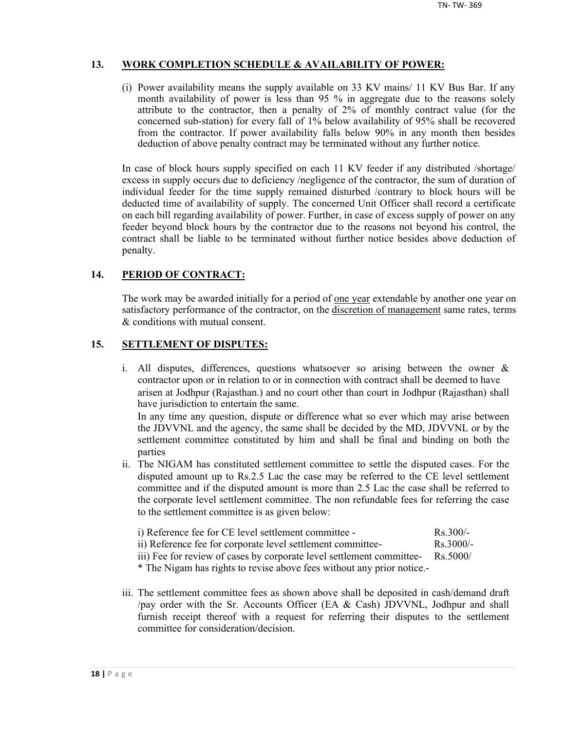## **13. WORK COMPLETION SCHEDULE & AVAILABILITY OF POWER:**

(i) Power availability means the supply available on 33 KV mains/ 11 KV Bus Bar. If any month availability of power is less than 95 % in aggregate due to the reasons solely attribute to the contractor, then a penalty of 2% of monthly contract value (for the concerned sub-station) for every fall of 1% below availability of 95% shall be recovered from the contractor. If power availability falls below 90% in any month then besides deduction of above penalty contract may be terminated without any further notice.

In case of block hours supply specified on each 11 KV feeder if any distributed /shortage/ excess in supply occurs due to deficiency /negligence of the contractor, the sum of duration of individual feeder for the time supply remained disturbed /contrary to block hours will be deducted time of availability of supply. The concerned Unit Officer shall record a certificate on each bill regarding availability of power. Further, in case of excess supply of power on any feeder beyond block hours by the contractor due to the reasons not beyond his control, the contract shall be liable to be terminated without further notice besides above deduction of penalty.

## **14. PERIOD OF CONTRACT:**

The work may be awarded initially for a period of <u>one year</u> extendable by another one year on satisfactory performance of the contractor, on the discretion of management same rates, terms & conditions with mutual consent.

## **15. SETTLEMENT OF DISPUTES:**

- i. All disputes, differences, questions whatsoever so arising between the owner & contractor upon or in relation to or in connection with contract shall be deemed to have arisen at Jodhpur (Rajasthan.) and no court other than court in Jodhpur (Rajasthan) shall have jurisdiction to entertain the same. In any time any question, dispute or difference what so ever which may arise between the JDVVNL and the agency, the same shall be decided by the MD, JDVVNL or by the settlement committee constituted by him and shall be final and binding on both the parties
- ii. The NIGAM has constituted settlement committee to settle the disputed cases. For the disputed amount up to Rs.2.5 Lac the case may be referred to the CE level settlement committee and if the disputed amount is more than 2.5 Lac the case shall be referred to the corporate level settlement committee. The non refundable fees for referring the case to the settlement committee is as given below:

| i) Reference fee for CE level settlement committee -        | $Rs$ 300/-          |
|-------------------------------------------------------------|---------------------|
| ii) Reference fee for corporate level settlement committee- | $\text{Rs } 3000/-$ |

iii) Fee for review of cases by corporate level settlement committee- Rs.5000/

\* The Nigam has rights to revise above fees without any prior notice.-

iii. The settlement committee fees as shown above shall be deposited in cash/demand draft /pay order with the Sr. Accounts Officer (EA & Cash) JDVVNL, Jodhpur and shall furnish receipt thereof with a request for referring their disputes to the settlement committee for consideration/decision.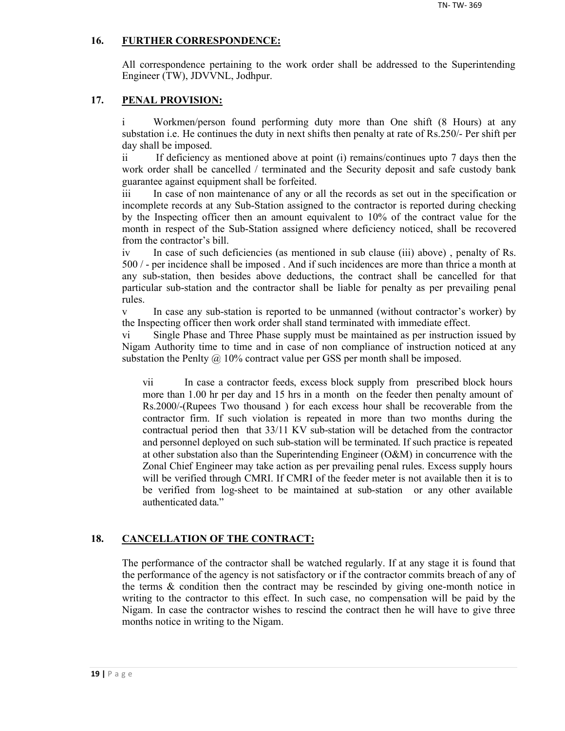## **16. FURTHER CORRESPONDENCE:**

All correspondence pertaining to the work order shall be addressed to the Superintending Engineer (TW), JDVVNL, Jodhpur.

## **17. PENAL PROVISION:**

i Workmen/person found performing duty more than One shift (8 Hours) at any substation i.e. He continues the duty in next shifts then penalty at rate of Rs.250/- Per shift per day shall be imposed.

ii If deficiency as mentioned above at point (i) remains/continues upto 7 days then the work order shall be cancelled / terminated and the Security deposit and safe custody bank guarantee against equipment shall be forfeited.

iii In case of non maintenance of any or all the records as set out in the specification or incomplete records at any Sub-Station assigned to the contractor is reported during checking by the Inspecting officer then an amount equivalent to 10% of the contract value for the month in respect of the Sub-Station assigned where deficiency noticed, shall be recovered from the contractor's bill.

iv In case of such deficiencies (as mentioned in sub clause (iii) above) , penalty of Rs. 500 / - per incidence shall be imposed . And if such incidences are more than thrice a month at any sub-station, then besides above deductions, the contract shall be cancelled for that particular sub-station and the contractor shall be liable for penalty as per prevailing penal rules.

v In case any sub-station is reported to be unmanned (without contractor's worker) by the Inspecting officer then work order shall stand terminated with immediate effect.

vi Single Phase and Three Phase supply must be maintained as per instruction issued by Nigam Authority time to time and in case of non compliance of instruction noticed at any substation the Penlty  $\omega$  10% contract value per GSS per month shall be imposed.

vii In case a contractor feeds, excess block supply from prescribed block hours more than 1.00 hr per day and 15 hrs in a month on the feeder then penalty amount of Rs.2000/-(Rupees Two thousand ) for each excess hour shall be recoverable from the contractor firm. If such violation is repeated in more than two months during the contractual period then that 33/11 KV sub-station will be detached from the contractor and personnel deployed on such sub-station will be terminated. If such practice is repeated at other substation also than the Superintending Engineer (O&M) in concurrence with the Zonal Chief Engineer may take action as per prevailing penal rules. Excess supply hours will be verified through CMRI. If CMRI of the feeder meter is not available then it is to be verified from log-sheet to be maintained at sub-station or any other available authenticated data."

## **18. CANCELLATION OF THE CONTRACT:**

The performance of the contractor shall be watched regularly. If at any stage it is found that the performance of the agency is not satisfactory or if the contractor commits breach of any of the terms  $\&$  condition then the contract may be rescinded by giving one-month notice in writing to the contractor to this effect. In such case, no compensation will be paid by the Nigam. In case the contractor wishes to rescind the contract then he will have to give three months notice in writing to the Nigam.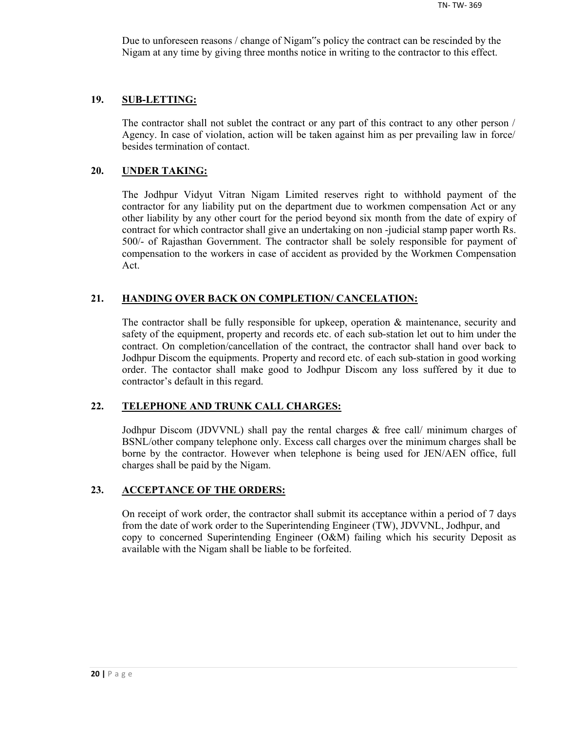Due to unforeseen reasons / change of Nigam"s policy the contract can be rescinded by the Nigam at any time by giving three months notice in writing to the contractor to this effect.

#### **19. SUB-LETTING:**

The contractor shall not sublet the contract or any part of this contract to any other person / Agency. In case of violation, action will be taken against him as per prevailing law in force/ besides termination of contact.

#### **20. UNDER TAKING:**

The Jodhpur Vidyut Vitran Nigam Limited reserves right to withhold payment of the contractor for any liability put on the department due to workmen compensation Act or any other liability by any other court for the period beyond six month from the date of expiry of contract for which contractor shall give an undertaking on non -judicial stamp paper worth Rs. 500/- of Rajasthan Government. The contractor shall be solely responsible for payment of compensation to the workers in case of accident as provided by the Workmen Compensation Act.

#### **21. HANDING OVER BACK ON COMPLETION/ CANCELATION:**

The contractor shall be fully responsible for upkeep, operation  $\&$  maintenance, security and safety of the equipment, property and records etc. of each sub-station let out to him under the contract. On completion/cancellation of the contract, the contractor shall hand over back to Jodhpur Discom the equipments. Property and record etc. of each sub-station in good working order. The contactor shall make good to Jodhpur Discom any loss suffered by it due to contractor's default in this regard.

## **22. TELEPHONE AND TRUNK CALL CHARGES:**

Jodhpur Discom (JDVVNL) shall pay the rental charges & free call/ minimum charges of BSNL/other company telephone only. Excess call charges over the minimum charges shall be borne by the contractor. However when telephone is being used for JEN/AEN office, full charges shall be paid by the Nigam.

#### **23. ACCEPTANCE OF THE ORDERS:**

On receipt of work order, the contractor shall submit its acceptance within a period of 7 days from the date of work order to the Superintending Engineer (TW), JDVVNL, Jodhpur, and copy to concerned Superintending Engineer (O&M) failing which his security Deposit as available with the Nigam shall be liable to be forfeited.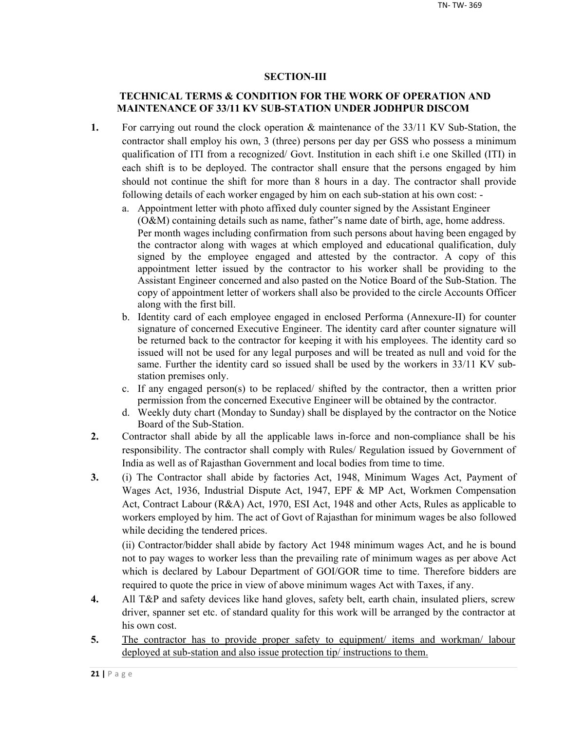## **SECTION-III**

## **TECHNICAL TERMS & CONDITION FOR THE WORK OF OPERATION AND MAINTENANCE OF 33/11 KV SUB-STATION UNDER JODHPUR DISCOM**

- **1.** For carrying out round the clock operation & maintenance of the 33/11 KV Sub-Station, the contractor shall employ his own, 3 (three) persons per day per GSS who possess a minimum qualification of ITI from a recognized/ Govt. Institution in each shift i.e one Skilled (ITI) in each shift is to be deployed. The contractor shall ensure that the persons engaged by him should not continue the shift for more than 8 hours in a day. The contractor shall provide following details of each worker engaged by him on each sub-station at his own cost:
	- a. Appointment letter with photo affixed duly counter signed by the Assistant Engineer (O&M) containing details such as name, father"s name date of birth, age, home address. Per month wages including confirmation from such persons about having been engaged by the contractor along with wages at which employed and educational qualification, duly signed by the employee engaged and attested by the contractor. A copy of this appointment letter issued by the contractor to his worker shall be providing to the Assistant Engineer concerned and also pasted on the Notice Board of the Sub-Station. The copy of appointment letter of workers shall also be provided to the circle Accounts Officer along with the first bill.
	- b. Identity card of each employee engaged in enclosed Performa (Annexure-II) for counter signature of concerned Executive Engineer. The identity card after counter signature will be returned back to the contractor for keeping it with his employees. The identity card so issued will not be used for any legal purposes and will be treated as null and void for the same. Further the identity card so issued shall be used by the workers in 33/11 KV substation premises only.
	- c. If any engaged person(s) to be replaced/ shifted by the contractor, then a written prior permission from the concerned Executive Engineer will be obtained by the contractor.
	- d. Weekly duty chart (Monday to Sunday) shall be displayed by the contractor on the Notice Board of the Sub-Station.
- **2.** Contractor shall abide by all the applicable laws in-force and non-compliance shall be his responsibility. The contractor shall comply with Rules/ Regulation issued by Government of India as well as of Rajasthan Government and local bodies from time to time.
- **3.** (i) The Contractor shall abide by factories Act, 1948, Minimum Wages Act, Payment of Wages Act, 1936, Industrial Dispute Act, 1947, EPF & MP Act, Workmen Compensation Act, Contract Labour (R&A) Act, 1970, ESI Act, 1948 and other Acts, Rules as applicable to workers employed by him. The act of Govt of Rajasthan for minimum wages be also followed while deciding the tendered prices.

(ii) Contractor/bidder shall abide by factory Act 1948 minimum wages Act, and he is bound not to pay wages to worker less than the prevailing rate of minimum wages as per above Act which is declared by Labour Department of GOI/GOR time to time. Therefore bidders are required to quote the price in view of above minimum wages Act with Taxes, if any.

- **4.** All T&P and safety devices like hand gloves, safety belt, earth chain, insulated pliers, screw driver, spanner set etc. of standard quality for this work will be arranged by the contractor at his own cost.
- 5. The contractor has to provide proper safety to equipment/ items and workman/ labour deployed at sub-station and also issue protection tip/ instructions to them.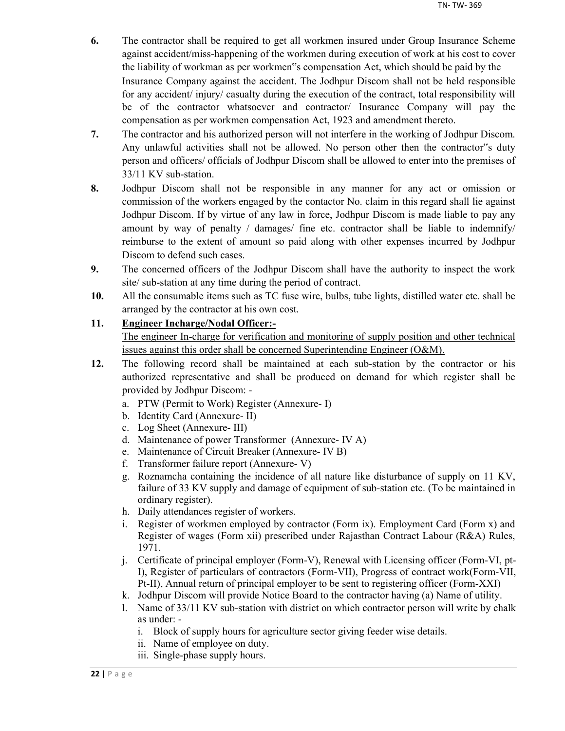- **6.** The contractor shall be required to get all workmen insured under Group Insurance Scheme against accident/miss-happening of the workmen during execution of work at his cost to cover the liability of workman as per workmen"s compensation Act, which should be paid by the Insurance Company against the accident. The Jodhpur Discom shall not be held responsible for any accident/ injury/ casualty during the execution of the contract, total responsibility will be of the contractor whatsoever and contractor/ Insurance Company will pay the compensation as per workmen compensation Act, 1923 and amendment thereto.
- **7.** The contractor and his authorized person will not interfere in the working of Jodhpur Discom. Any unlawful activities shall not be allowed. No person other then the contractor"s duty person and officers/ officials of Jodhpur Discom shall be allowed to enter into the premises of 33/11 KV sub-station.
- **8.** Jodhpur Discom shall not be responsible in any manner for any act or omission or commission of the workers engaged by the contactor No. claim in this regard shall lie against Jodhpur Discom. If by virtue of any law in force, Jodhpur Discom is made liable to pay any amount by way of penalty / damages/ fine etc. contractor shall be liable to indemnify/ reimburse to the extent of amount so paid along with other expenses incurred by Jodhpur Discom to defend such cases.
- **9.** The concerned officers of the Jodhpur Discom shall have the authority to inspect the work site/ sub-station at any time during the period of contract.
- **10.** All the consumable items such as TC fuse wire, bulbs, tube lights, distilled water etc. shall be arranged by the contractor at his own cost.

## **11. Engineer Incharge/Nodal Officer:-**

The engineer In-charge for verification and monitoring of supply position and other technical issues against this order shall be concerned Superintending Engineer (O&M).

- **12.** The following record shall be maintained at each sub-station by the contractor or his authorized representative and shall be produced on demand for which register shall be provided by Jodhpur Discom:
	- a. PTW (Permit to Work) Register (Annexure- I)
	- b. Identity Card (Annexure- II)
	- c. Log Sheet (Annexure- III)
	- d. Maintenance of power Transformer (Annexure- IV A)
	- e. Maintenance of Circuit Breaker (Annexure- IV B)
	- f. Transformer failure report (Annexure- V)
	- g. Roznamcha containing the incidence of all nature like disturbance of supply on 11 KV, failure of 33 KV supply and damage of equipment of sub-station etc. (To be maintained in ordinary register).
	- h. Daily attendances register of workers.
	- i. Register of workmen employed by contractor (Form ix). Employment Card (Form x) and Register of wages (Form xii) prescribed under Rajasthan Contract Labour (R&A) Rules, 1971.
	- j. Certificate of principal employer (Form-V), Renewal with Licensing officer (Form-VI, pt-I), Register of particulars of contractors (Form-VII), Progress of contract work(Form-VII, Pt-II), Annual return of principal employer to be sent to registering officer (Form-XXI)
	- k. Jodhpur Discom will provide Notice Board to the contractor having (a) Name of utility.
	- l. Name of 33/11 KV sub-station with district on which contractor person will write by chalk as under:
		- i. Block of supply hours for agriculture sector giving feeder wise details.
		- ii. Name of employee on duty.
		- iii. Single-phase supply hours.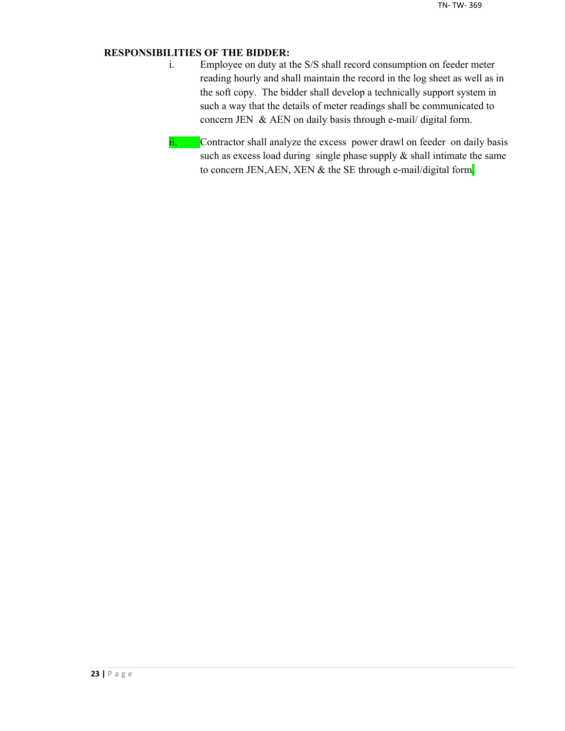## **RESPONSIBILITIES OF THE BIDDER:**

- i. Employee on duty at the S/S shall record consumption on feeder meter reading hourly and shall maintain the record in the log sheet as well as in the soft copy. The bidder shall develop a technically support system in such a way that the details of meter readings shall be communicated to concern JEN & AEN on daily basis through e-mail/ digital form.
- ii. Contractor shall analyze the excess power drawl on feeder on daily basis such as excess load during single phase supply  $\&$  shall intimate the same to concern JEN, AEN, XEN & the SE through e-mail/digital form.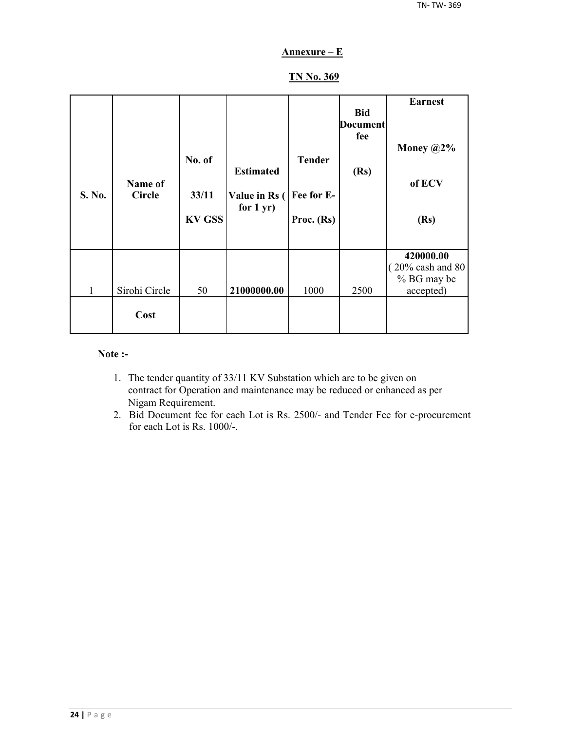## **Annexure – E**

## **TN No. 369**

| S. No. | Name of<br><b>Circle</b> | No. of<br>33/11<br><b>KV GSS</b> | <b>Estimated</b><br>Value in Rs (<br>for $1 yr$ ) | <b>Tender</b><br>Fee for E-<br>Proc. $(Rs)$ | <b>Bid</b><br><b>Document</b><br>fee<br>(Rs) | <b>Earnest</b><br>Money $@2\%$<br>of ECV<br>(Rs)         |
|--------|--------------------------|----------------------------------|---------------------------------------------------|---------------------------------------------|----------------------------------------------|----------------------------------------------------------|
| 1      | Sirohi Circle            | 50                               | 21000000.00                                       | 1000                                        | 2500                                         | 420000.00<br>20% cash and 80<br>% BG may be<br>accepted) |
|        | Cost                     |                                  |                                                   |                                             |                                              |                                                          |

#### **Note :-**

- 1. The tender quantity of 33/11 KV Substation which are to be given on contract for Operation and maintenance may be reduced or enhanced as per Nigam Requirement.
- 2. Bid Document fee for each Lot is Rs. 2500/- and Tender Fee for e-procurement for each Lot is Rs. 1000/-.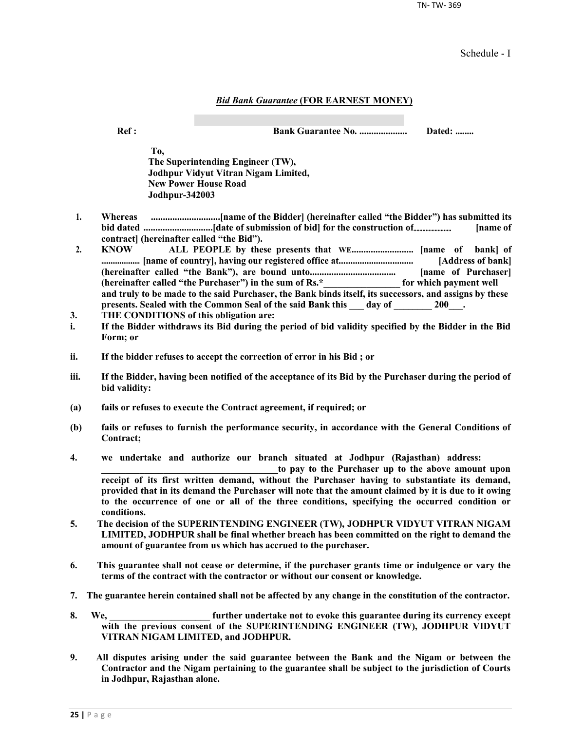TN- TW- 369

Schedule - I

#### *Bid Bank Guarantee* **(FOR EARNEST MONEY)**

**Ref : Bank Guarantee No. .................... Dated: ........**

**To, The Superintending Engineer (TW), Jodhpur Vidyut Vitran Nigam Limited, New Power House Road Jodhpur-342003**

- **1. Whereas .............................[name of the Bidder] (hereinafter called "the Bidder") has submitted its bid dated .............................[date of submission of bid] for the construction of......................... [name of contract] (hereinafter called "the Bid").**
- **2. KNOW ALL PEOPLE by these presents that WE.......................... [name of bank] of ..................... [name of country], having our registered office at................................ [Address of bank] (hereinafter called "the Bank"), are bound unto.................................... [name of Purchaser] (hereinafter called "the Purchaser") in the sum of Rs.\*\_\_\_\_\_\_\_\_\_\_\_\_\_\_\_\_ for which payment well and truly to be made to the said Purchaser, the Bank binds itself, its successors, and assigns by these**  presents. Sealed with the Common Seal of the said Bank this \_\_\_ day of \_\_\_\_\_\_\_ 200\_\_\_.
- **3. THE CONDITIONS of this obligation are:**
- **i. If the Bidder withdraws its Bid during the period of bid validity specified by the Bidder in the Bid Form; or**
- **ii. If the bidder refuses to accept the correction of error in his Bid ; or**
- **iii. If the Bidder, having been notified of the acceptance of its Bid by the Purchaser during the period of bid validity:**
- **(a) fails or refuses to execute the Contract agreement, if required; or**
- **(b) fails or refuses to furnish the performance security, in accordance with the General Conditions of Contract;**
- **4. we undertake and authorize our branch situated at Jodhpur (Rajasthan) address:**

to pay to the Purchaser up to the above amount upon **receipt of its first written demand, without the Purchaser having to substantiate its demand, provided that in its demand the Purchaser will note that the amount claimed by it is due to it owing to the occurrence of one or all of the three conditions, specifying the occurred condition or conditions.**

- **5. The decision of the SUPERINTENDING ENGINEER (TW), JODHPUR VIDYUT VITRAN NIGAM LIMITED, JODHPUR shall be final whether breach has been committed on the right to demand the amount of guarantee from us which has accrued to the purchaser.**
- **6. This guarantee shall not cease or determine, if the purchaser grants time or indulgence or vary the terms of the contract with the contractor or without our consent or knowledge.**
- **7. The guarantee herein contained shall not be affected by any change in the constitution of the contractor.**
- **8. We, \_\_\_\_\_\_\_\_\_\_\_\_\_\_\_\_\_\_\_\_\_ further undertake not to evoke this guarantee during its currency except with the previous consent of the SUPERINTENDING ENGINEER (TW), JODHPUR VIDYUT VITRAN NIGAM LIMITED, and JODHPUR.**
- **9. All disputes arising under the said guarantee between the Bank and the Nigam or between the Contractor and the Nigam pertaining to the guarantee shall be subject to the jurisdiction of Courts in Jodhpur, Rajasthan alone.**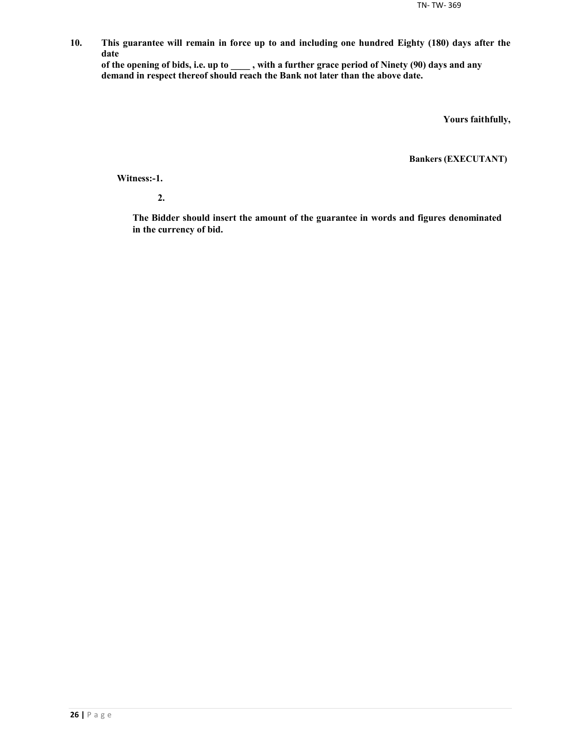**10. This guarantee will remain in force up to and including one hundred Eighty (180) days after the date**

**of the opening of bids, i.e. up to \_\_\_\_ , with a further grace period of Ninety (90) days and any demand in respect thereof should reach the Bank not later than the above date.**

**Yours faithfully,**

**Bankers (EXECUTANT)**

**Witness:-1.**

**2.**

**The Bidder should insert the amount of the guarantee in words and figures denominated in the currency of bid.**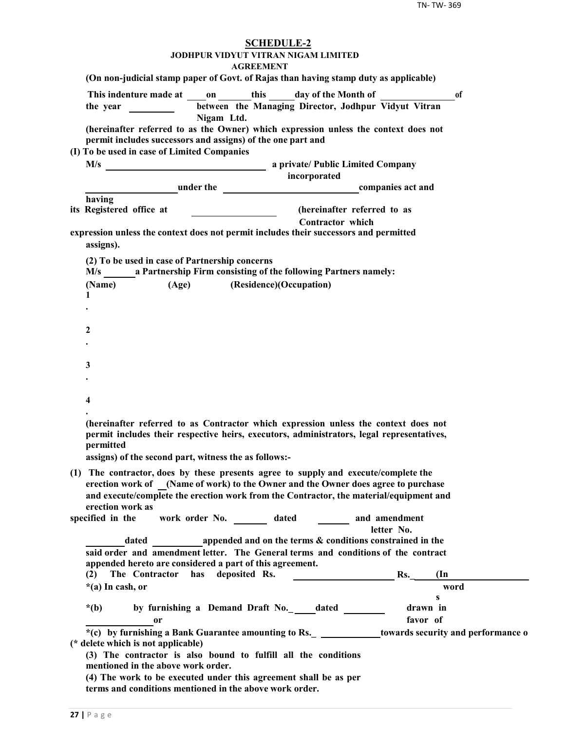| <b>SCHEDULE-2</b><br><b>JODHPUR VIDYUT VITRAN NIGAM LIMITED</b><br><b>AGREEMENT</b>                                                                                                                                                                                                                                                                                  |
|----------------------------------------------------------------------------------------------------------------------------------------------------------------------------------------------------------------------------------------------------------------------------------------------------------------------------------------------------------------------|
| (On non-judicial stamp paper of Govt. of Rajas than having stamp duty as applicable)                                                                                                                                                                                                                                                                                 |
| This indenture made at on this day of the Month of<br>of<br>between the Managing Director, Jodhpur Vidyut Vitran<br>Nigam Ltd.                                                                                                                                                                                                                                       |
| (hereinafter referred to as the Owner) which expression unless the context does not<br>permit includes successors and assigns) of the one part and                                                                                                                                                                                                                   |
| (I) To be used in case of Limited Companies<br>incorporated                                                                                                                                                                                                                                                                                                          |
| <b>Example 2</b> under the <b>companies</b> act and                                                                                                                                                                                                                                                                                                                  |
| having                                                                                                                                                                                                                                                                                                                                                               |
| (hereinafter referred to as<br>its Registered office at                                                                                                                                                                                                                                                                                                              |
| <b>Contractor</b> which<br>expression unless the context does not permit includes their successors and permitted<br>assigns).                                                                                                                                                                                                                                        |
| (2) To be used in case of Partnership concerns<br>M/s ________ a Partnership Firm consisting of the following Partners namely:                                                                                                                                                                                                                                       |
| (Age) (Residence)(Occupation)<br>(Name)<br>1                                                                                                                                                                                                                                                                                                                         |
|                                                                                                                                                                                                                                                                                                                                                                      |
| 2                                                                                                                                                                                                                                                                                                                                                                    |
|                                                                                                                                                                                                                                                                                                                                                                      |
| 3                                                                                                                                                                                                                                                                                                                                                                    |
|                                                                                                                                                                                                                                                                                                                                                                      |
| 4                                                                                                                                                                                                                                                                                                                                                                    |
| (hereinafter referred to as Contractor which expression unless the context does not<br>permit includes their respective heirs, executors, administrators, legal representatives,<br>nermitted<br>assigns) of the second part, witness the as follows:-                                                                                                               |
| (1) The contractor, does by these presents agree to supply and execute/complete the<br>erection work of (Name of work) to the Owner and the Owner does agree to purchase<br>and execute/complete the erection work from the Contractor, the material/equipment and<br>erection work as<br>work order No. _________ dated _________ and amendment<br>specified in the |
| letter No.                                                                                                                                                                                                                                                                                                                                                           |
| dated appended and on the terms & conditions constrained in the<br>said order and amendment letter. The General terms and conditions of the contract<br>appended hereto are considered a part of this agreement.                                                                                                                                                     |
| has deposited Rs.<br>Rs.<br>(2)<br>The Contractor<br>$(\text{In})$<br>word<br>$*(a)$ In cash, or                                                                                                                                                                                                                                                                     |
| s                                                                                                                                                                                                                                                                                                                                                                    |
| by furnishing a Demand Draft No._outled<br>drawn in<br>$*(b)$                                                                                                                                                                                                                                                                                                        |
| favor of<br>0r<br>*(c) by furnishing a Bank Guarantee amounting to Rs. _ _____________towards security and performance o                                                                                                                                                                                                                                             |
| (* delete which is not applicable)<br>(3) The contractor is also bound to fulfill all the conditions<br>mentioned in the above work order.                                                                                                                                                                                                                           |
| (4) The work to be executed under this agreement shall be as per<br>terms and conditions mentioned in the above work order.                                                                                                                                                                                                                                          |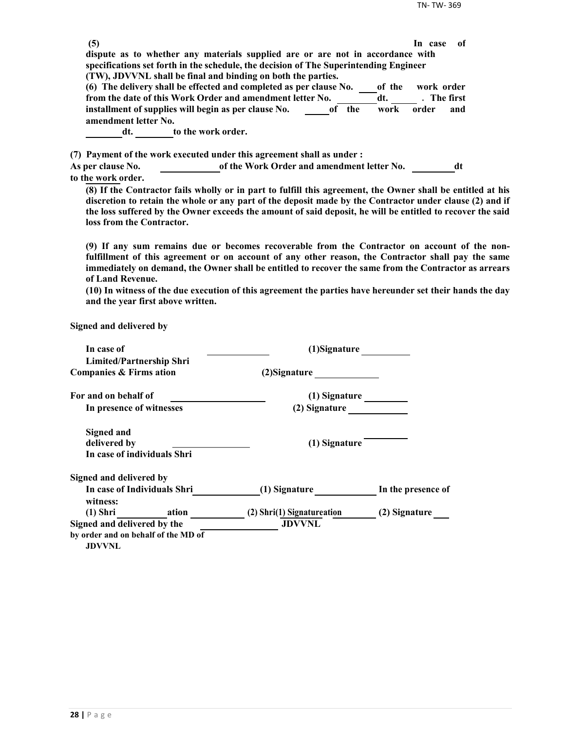| (5)                      |                                                                                                                      |        | -of<br>In case |
|--------------------------|----------------------------------------------------------------------------------------------------------------------|--------|----------------|
|                          | dispute as to whether any materials supplied are or are not in accordance with                                       |        |                |
|                          | specifications set forth in the schedule, the decision of The Superintending Engineer                                |        |                |
|                          | (TW), JDVVNL shall be final and binding on both the parties.                                                         |        |                |
|                          | (6) The delivery shall be effected and completed as per clause No.                                                   | of the | work order     |
|                          | from the date of this Work Order and amendment letter No.                                                            | dt.    | . The first    |
|                          | installment of supplies will begin as per clause No.<br>of the                                                       | work   | order<br>and   |
| amendment letter No.     | to the work order.                                                                                                   |        |                |
| dt.                      |                                                                                                                      |        |                |
|                          |                                                                                                                      |        |                |
| <b>As per clause No.</b> | (7) Payment of the work executed under this agreement shall as under :<br>of the Work Order and amendment letter No. |        |                |

**(8) If the Contractor fails wholly or in part to fulfill this agreement, the Owner shall be entitled at his discretion to retain the whole or any part of the deposit made by the Contractor under clause (2) and if the loss suffered by the Owner exceeds the amount of said deposit, he will be entitled to recover the said loss from the Contractor.**

**(9) If any sum remains due or becomes recoverable from the Contractor on account of the nonfulfillment of this agreement or on account of any other reason, the Contractor shall pay the same immediately on demand, the Owner shall be entitled to recover the same from the Contractor as arrears of Land Revenue.**

**(10) In witness of the due execution of this agreement the parties have hereunder set their hands the day and the year first above written.**

**Signed and delivered by**

| In case of                                           | (1)Signature               |                    |
|------------------------------------------------------|----------------------------|--------------------|
| <b>Limited/Partnership Shri</b>                      |                            |                    |
| Companies & Firms ation                              | (2) Signature              |                    |
| For and on behalf of                                 | (1) Signature              |                    |
| In presence of witnesses                             | (2) Signature              |                    |
| Signed and                                           |                            |                    |
| delivered by                                         | (1) Signature              |                    |
| In case of individuals Shri                          |                            |                    |
| Signed and delivered by                              |                            |                    |
| In case of Individuals Shri<br>witness:              | (1) Signature              | In the presence of |
| $(1)$ Shri<br>ation                                  | (2) Shri(1) Signatureation | (2) Signature      |
| Signed and delivered by the                          | <b>JDVVNL</b>              |                    |
| by order and on behalf of the MD of<br><b>JDVVNL</b> |                            |                    |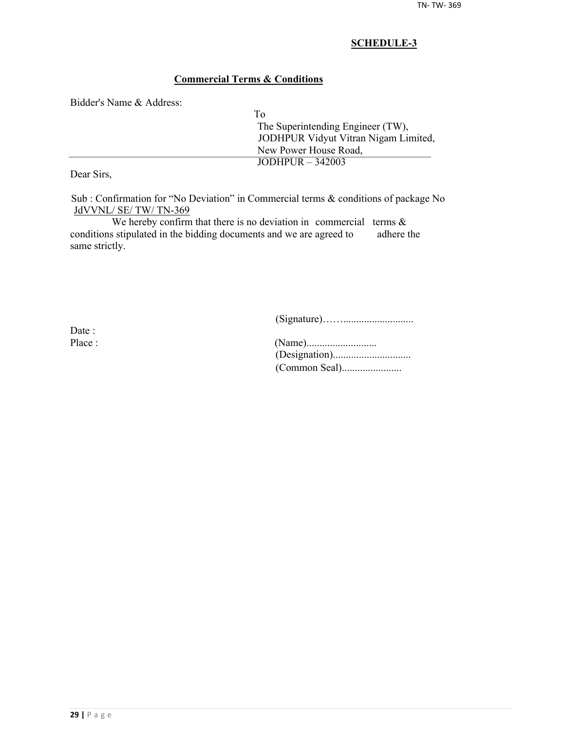## **Commercial Terms & Conditions**

Bidder's Name & Address:

| Tο                                   |
|--------------------------------------|
| The Superintending Engineer (TW),    |
| JODHPUR Vidyut Vitran Nigam Limited, |
| New Power House Road,                |
| $JODHPUR - 342003$                   |
|                                      |

Dear Sirs,

Sub : Confirmation for "No Deviation" in Commercial terms & conditions of package No JdVVNL/ SE/ TW/ TN-369

We hereby confirm that there is no deviation in commercial terms  $\&$ conditions stipulated in the bidding documents and we are agreed to adhere the same strictly.

(Signature)……...........................

Date :

| Place : |  |
|---------|--|
|         |  |
|         |  |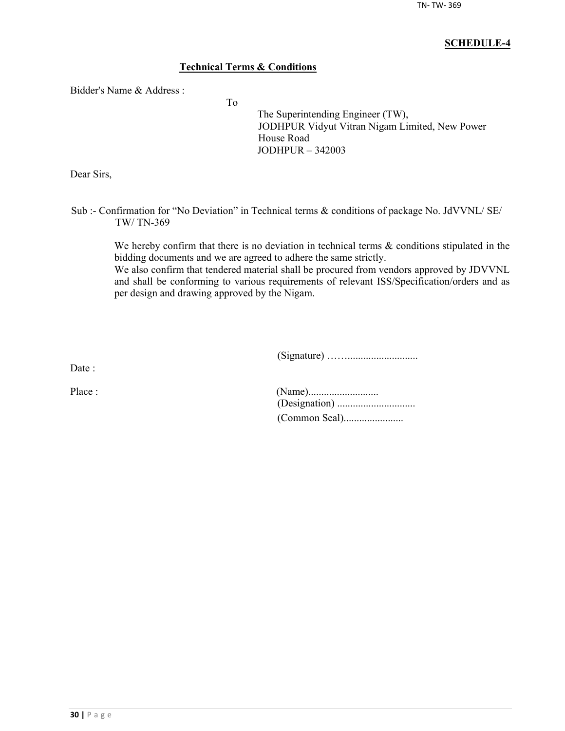## **Technical Terms & Conditions**

To

Bidder's Name & Address :

The Superintending Engineer (TW), JODHPUR Vidyut Vitran Nigam Limited, New Power House Road JODHPUR – 342003

Dear Sirs,

Sub :- Confirmation for "No Deviation" in Technical terms & conditions of package No. JdVVNL/ SE/ TW/ TN-369

> We hereby confirm that there is no deviation in technical terms  $\&$  conditions stipulated in the bidding documents and we are agreed to adhere the same strictly.

> We also confirm that tendered material shall be procured from vendors approved by JDVVNL and shall be conforming to various requirements of relevant ISS/Specification/orders and as per design and drawing approved by the Nigam.

> > (Signature) ……...........................

Date ·

| Place : |  |
|---------|--|
|         |  |
|         |  |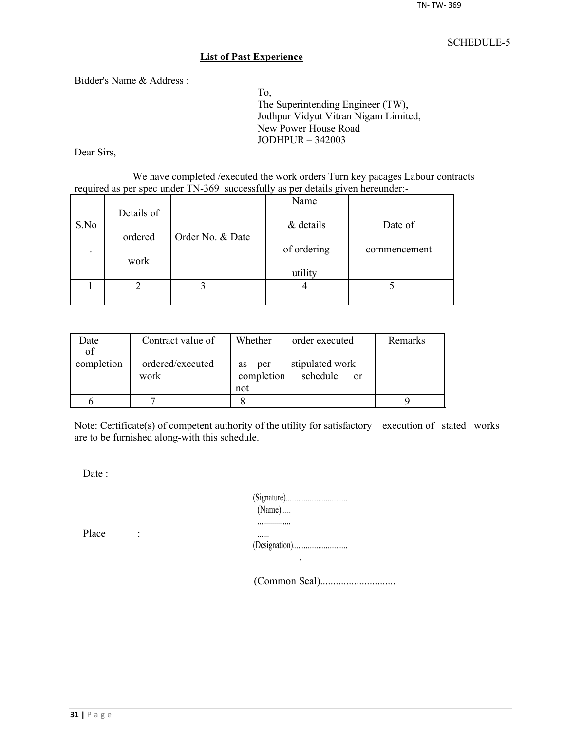#### **List of Past Experience**

Bidder's Name & Address :

To, The Superintending Engineer (TW), Jodhpur Vidyut Vitran Nigam Limited, New Power House Road JODHPUR – 342003

Dear Sirs,

We have completed /executed the work orders Turn key pacages Labour contracts required as per spec under TN-369 successfully as per details given hereunder:-

|                          |            |                  | Name        |              |
|--------------------------|------------|------------------|-------------|--------------|
| S.No                     | Details of |                  | & details   | Date of      |
|                          | ordered    | Order No. & Date |             |              |
| $\overline{\phantom{a}}$ |            |                  | of ordering | commencement |
|                          | work       |                  | utility     |              |
|                          |            |                  |             |              |
|                          |            |                  |             |              |

| Date       | Contract value of        | Whether<br>order executed                                     | Remarks |
|------------|--------------------------|---------------------------------------------------------------|---------|
| of         |                          |                                                               |         |
| completion | ordered/executed<br>work | stipulated work<br>per<br><b>as</b><br>completion<br>schedule |         |
|            |                          | <sub>or</sub><br>not                                          |         |
|            |                          |                                                               |         |
|            |                          |                                                               |         |

Note: Certificate(s) of competent authority of the utility for satisfactory execution of stated works are to be furnished along-with this schedule.

Date:

| $(Name)$ |
|----------|
|          |
|          |

Place :

(Common Seal).............................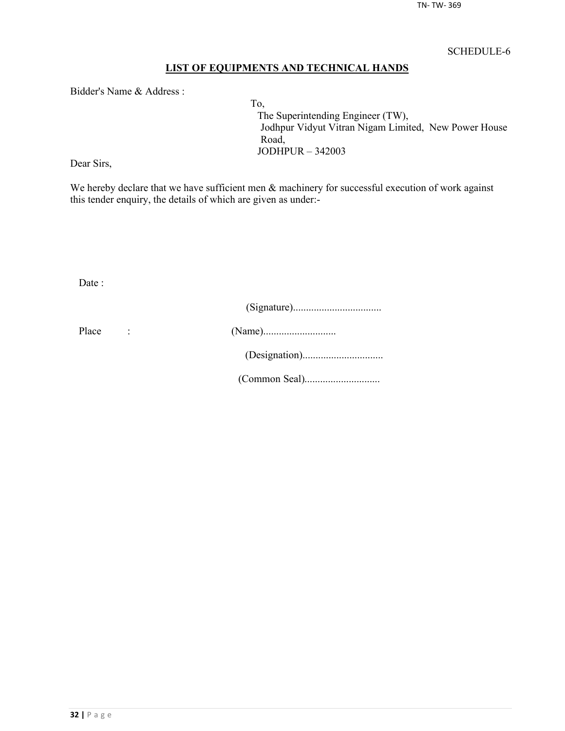## **LIST OF EQUIPMENTS AND TECHNICAL HANDS**

Bidder's Name & Address :

To, The Superintending Engineer (TW), Jodhpur Vidyut Vitran Nigam Limited, New Power House Road, JODHPUR – 342003

Dear Sirs,

We hereby declare that we have sufficient men  $\&$  machinery for successful execution of work against this tender enquiry, the details of which are given as under:-

Date :

| Place |  |
|-------|--|
|       |  |
|       |  |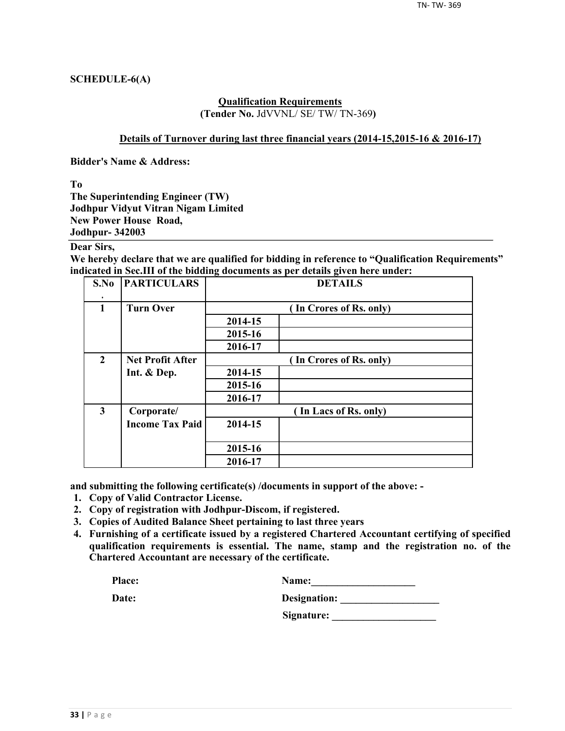#### **SCHEDULE-6(A)**

#### **Qualification Requirements (Tender No.** JdVVNL/ SE/ TW/ TN-369**)**

#### **Details of Turnover during last three financial years (2014-15,2015-16 & 2016-17)**

**Bidder's Name & Address:**

**To**

**The Superintending Engineer (TW) Jodhpur Vidyut Vitran Nigam Limited New Power House Road, Jodhpur- 342003**

#### **Dear Sirs,**

**We hereby declare that we are qualified for bidding in reference to "Qualification Requirements" indicated in Sec.III of the bidding documents as per details given here under:**

| S.No                    | <b>PARTICULARS</b>      | <b>DETAILS</b> |                         |  |  |  |  |
|-------------------------|-------------------------|----------------|-------------------------|--|--|--|--|
| $\mathbf{1}$            | <b>Turn Over</b>        |                | (In Crores of Rs. only) |  |  |  |  |
|                         |                         | 2014-15        |                         |  |  |  |  |
|                         |                         | 2015-16        |                         |  |  |  |  |
|                         |                         | 2016-17        |                         |  |  |  |  |
| $\overline{2}$          | <b>Net Profit After</b> |                | (In Crores of Rs. only) |  |  |  |  |
|                         | Int. & Dep.             | 2014-15        |                         |  |  |  |  |
|                         |                         | 2015-16        |                         |  |  |  |  |
|                         |                         | 2016-17        |                         |  |  |  |  |
| $\overline{\mathbf{3}}$ | Corporate/              |                | (In Lacs of Rs. only)   |  |  |  |  |
|                         | <b>Income Tax Paid</b>  | 2014-15        |                         |  |  |  |  |
|                         |                         | 2015-16        |                         |  |  |  |  |
|                         |                         | 2016-17        |                         |  |  |  |  |

**and submitting the following certificate(s) /documents in support of the above: -**

- **1. Copy of Valid Contractor License.**
- **2. Copy of registration with Jodhpur-Discom, if registered.**
- **3. Copies of Audited Balance Sheet pertaining to last three years**
- **4. Furnishing of a certificate issued by a registered Chartered Accountant certifying of specified qualification requirements is essential. The name, stamp and the registration no. of the Chartered Accountant are necessary of the certificate.**

| Place: | <b>Name:</b> |
|--------|--------------|
|        |              |

| Date: | Designation: |
|-------|--------------|
|       |              |

**Signature: \_\_\_\_\_\_\_\_\_\_\_\_\_\_\_\_\_\_\_\_**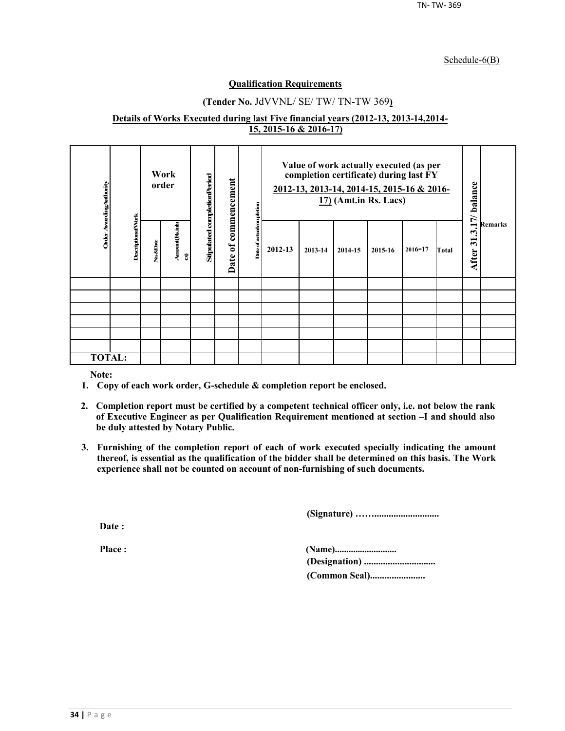#### Schedule-6(B)

#### **Qualification Requirements**

## **(Tender No.** JdVVNL/ SE/ TW/ TN-TW 369**)**

#### **Details of Works Executed during last Five financial years (2012-13, 2013-14,2014- 15, 2015-16 & 2016-17)**

| Order Awarding Authority |                          |          | Work<br>order       | Stipulated completionPeriod | commencement           | ompletion     | Value of work actually executed (as per<br>completion certificate) during last FY<br>2012-13, 2013-14, 2014-15, 2015-16 & 2016-<br>$17)$ (Amt.in Rs. Lacs) |         |         | 17/ balance |             |       |                                                           |                |
|--------------------------|--------------------------|----------|---------------------|-----------------------------|------------------------|---------------|------------------------------------------------------------------------------------------------------------------------------------------------------------|---------|---------|-------------|-------------|-------|-----------------------------------------------------------|----------------|
|                          | <b>DescriptionofVork</b> | No.&Date | Amount(Rsinla<br>อิ |                             | $\mathfrak{b}$<br>Date | Date of actua | 2012-13                                                                                                                                                    | 2013-14 | 2014-15 | 2015-16     | $2016 - 17$ | Total | $\boldsymbol{\cdot}$<br>$\overline{\mathbf{5}}$<br>After: | <b>Remarks</b> |
|                          |                          |          |                     |                             |                        |               |                                                                                                                                                            |         |         |             |             |       |                                                           |                |
|                          |                          |          |                     |                             |                        |               |                                                                                                                                                            |         |         |             |             |       |                                                           |                |
|                          |                          |          |                     |                             |                        |               |                                                                                                                                                            |         |         |             |             |       |                                                           |                |
|                          |                          |          |                     |                             |                        |               |                                                                                                                                                            |         |         |             |             |       |                                                           |                |
|                          |                          |          |                     |                             |                        |               |                                                                                                                                                            |         |         |             |             |       |                                                           |                |
|                          |                          |          |                     |                             |                        |               |                                                                                                                                                            |         |         |             |             |       |                                                           |                |
| <b>TOTAL:</b>            |                          |          |                     |                             |                        |               |                                                                                                                                                            |         |         |             |             |       |                                                           |                |

**Note:**

- **1. Copy of each work order, G-schedule & completion report be enclosed.**
- **2. Completion report must be certified by a competent technical officer only, i.e. not below the rank of Executive Engineer as per Qualification Requirement mentioned at section –I and should also be duly attested by Notary Public.**
- **3. Furnishing of the completion report of each of work executed specially indicating the amount thereof, is essential as the qualification of the bidder shall be determined on this basis. The Work experience shall not be counted on account of non-furnishing of such documents.**

**(Signature) ……...........................**

**Date :**

**Place : (Name)........................... (Designation) .............................. (Common Seal).......................**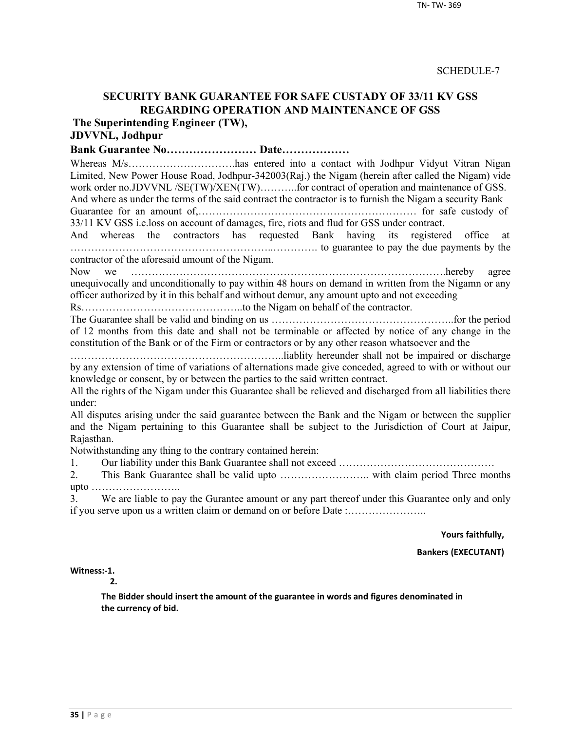## **SECURITY BANK GUARANTEE FOR SAFE CUSTADY OF 33/11 KV GSS REGARDING OPERATION AND MAINTENANCE OF GSS**

**The Superintending Engineer (TW),**

## **JDVVNL, Jodhpur**

**Bank Guarantee No…………………… Date………………**

Whereas M/s…………………………has entered into a contact with Jodhpur Vidyut Vitran Nigan Limited, New Power House Road, Jodhpur-342003(Raj.) the Nigam (herein after called the Nigam) vide work order no.JDVVNL /SE(TW)/XEN(TW)..........for contract of operation and maintenance of GSS. And where as under the terms of the said contract the contractor is to furnish the Nigam a security Bank

Guarantee for an amount of,……………………………………………………… for safe custody of 33/11 KV GSS i.e.loss on account of damages, fire, riots and flud for GSS under contract.

And whereas the contractors has requested Bank having its registered office at …………………………………………………..…………. to guarantee to pay the due payments by the contractor of the aforesaid amount of the Nigam.

Now we ……………………………………………………………………………….hereby agree unequivocally and unconditionally to pay within 48 hours on demand in written from the Nigamn or any officer authorized by it in this behalf and without demur, any amount upto and not exceeding

Rs………………………………………..to the Nigam on behalf of the contractor.

The Guarantee shall be valid and binding on us ……………………………………………..for the period of 12 months from this date and shall not be terminable or affected by notice of any change in the constitution of the Bank or of the Firm or contractors or by any other reason whatsoever and the

……………………………………………………..liablity hereunder shall not be impaired or discharge by any extension of time of variations of alternations made give conceded, agreed to with or without our knowledge or consent, by or between the parties to the said written contract.

All the rights of the Nigam under this Guarantee shall be relieved and discharged from all liabilities there under:

All disputes arising under the said guarantee between the Bank and the Nigam or between the supplier and the Nigam pertaining to this Guarantee shall be subject to the Jurisdiction of Court at Jaipur, Rajasthan.

Notwithstanding any thing to the contrary contained herein:

1. Our liability under this Bank Guarantee shall not exceed ………………………………………

2. This Bank Guarantee shall be valid upto …………………….. with claim period Three months upto ……………………..

3. We are liable to pay the Gurantee amount or any part thereof under this Guarantee only and only if you serve upon us a written claim or demand on or before Date :…………………..

**Yours faithfully,**

**Bankers (EXECUTANT)**

**Witness:-1.** 

**2.**

**The Bidder should insert the amount of the guarantee in words and figures denominated in the currency of bid.**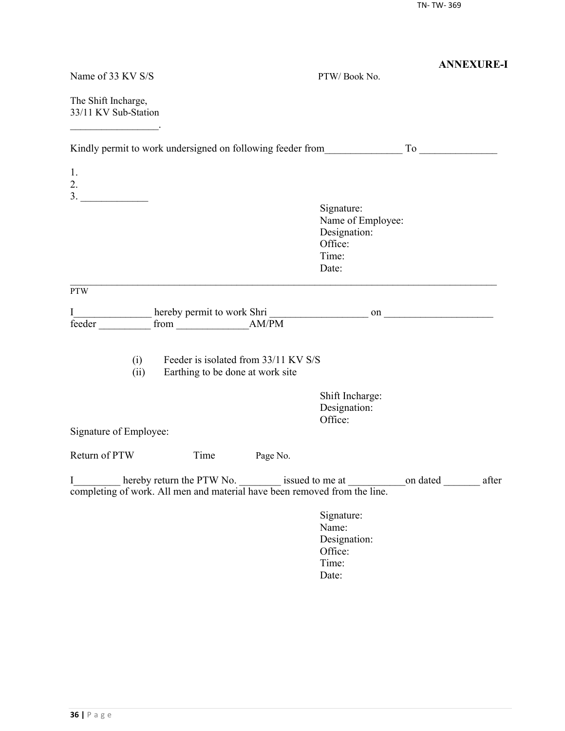|                                                                                |                                                                          |          |                                                                                                 | <b>ANNEXURE-I</b> |
|--------------------------------------------------------------------------------|--------------------------------------------------------------------------|----------|-------------------------------------------------------------------------------------------------|-------------------|
| Name of 33 KV S/S                                                              |                                                                          |          | PTW/Book No.                                                                                    |                   |
| The Shift Incharge,<br>33/11 KV Sub-Station                                    |                                                                          |          |                                                                                                 |                   |
|                                                                                |                                                                          |          | Kindly permit to work undersigned on following feeder from To                                   |                   |
| 1.<br>2.                                                                       |                                                                          |          |                                                                                                 |                   |
|                                                                                |                                                                          |          | Signature:<br>Name of Employee:<br>Designation:<br>Office:<br>Time:<br>Date:                    |                   |
| <b>PTW</b>                                                                     |                                                                          |          |                                                                                                 |                   |
| I<br>feeder                                                                    |                                                                          |          |                                                                                                 |                   |
| (i)<br>(ii)                                                                    | Feeder is isolated from 33/11 KV S/S<br>Earthing to be done at work site |          |                                                                                                 |                   |
|                                                                                |                                                                          |          | Shift Incharge:<br>Designation:<br>Office:                                                      |                   |
| Signature of Employee:                                                         |                                                                          |          |                                                                                                 |                   |
| Return of PTW                                                                  | Time                                                                     | Page No. |                                                                                                 |                   |
| I<br>completing of work. All men and material have been removed from the line. |                                                                          |          | hereby return the PTW No. _________ issued to me at ________________on dated ____________ after |                   |
|                                                                                |                                                                          |          | Signature:<br>Name:<br>Designation:<br>Office:<br>Time:<br>Date:                                |                   |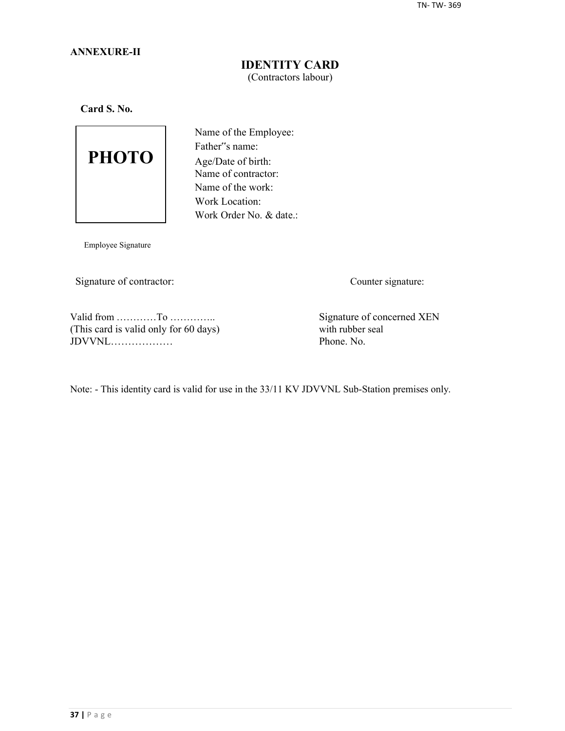#### **ANNEXURE-II**

## **IDENTITY CARD** (Contractors labour)

**Card S. No.**



Name of the Employee: Father"s name: Age/Date of birth: Name of contractor: Name of the work: Work Location: Work Order No. & date.:

Employee Signature

Signature of contractor: Counter signature:

Valid from …………To …………..<br>
This card is valid only for 60 days) Signature of concerned XEN<br>
with rubber seal (This card is valid only for 60 days) with rubber seal  $JDVVNL$ 

Note: - This identity card is valid for use in the 33/11 KV JDVVNL Sub-Station premises only.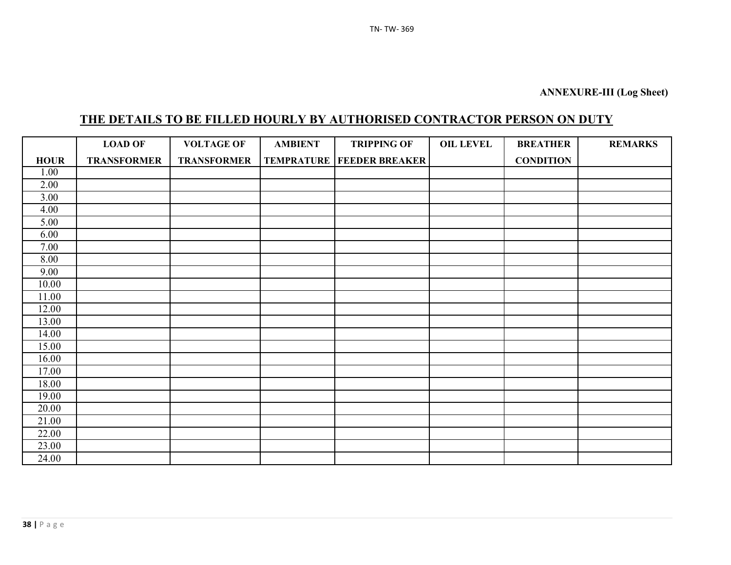# **THE DETAILS TO BE FILLED HOURLY BY AUTHORISED CONTRACTOR PERSON ON DUTY**

|                   | <b>LOAD OF</b>     | <b>VOLTAGE OF</b>  | <b>AMBIENT</b> | <b>TRIPPING OF</b>                   | <b>OIL LEVEL</b> | <b>BREATHER</b>  | <b>REMARKS</b> |
|-------------------|--------------------|--------------------|----------------|--------------------------------------|------------------|------------------|----------------|
| <b>HOUR</b>       | <b>TRANSFORMER</b> | <b>TRANSFORMER</b> |                | <b>TEMPRATURE   FEEDER BREAKER  </b> |                  | <b>CONDITION</b> |                |
| 1.00              |                    |                    |                |                                      |                  |                  |                |
| 2.00              |                    |                    |                |                                      |                  |                  |                |
| $\overline{3.00}$ |                    |                    |                |                                      |                  |                  |                |
| 4.00              |                    |                    |                |                                      |                  |                  |                |
| 5.00              |                    |                    |                |                                      |                  |                  |                |
| 6.00              |                    |                    |                |                                      |                  |                  |                |
| 7.00              |                    |                    |                |                                      |                  |                  |                |
| 8.00              |                    |                    |                |                                      |                  |                  |                |
| 9.00              |                    |                    |                |                                      |                  |                  |                |
| 10.00             |                    |                    |                |                                      |                  |                  |                |
| 11.00             |                    |                    |                |                                      |                  |                  |                |
| 12.00             |                    |                    |                |                                      |                  |                  |                |
| 13.00             |                    |                    |                |                                      |                  |                  |                |
| 14.00             |                    |                    |                |                                      |                  |                  |                |
| 15.00             |                    |                    |                |                                      |                  |                  |                |
| 16.00             |                    |                    |                |                                      |                  |                  |                |
| 17.00             |                    |                    |                |                                      |                  |                  |                |
| 18.00             |                    |                    |                |                                      |                  |                  |                |
| 19.00             |                    |                    |                |                                      |                  |                  |                |
| 20.00             |                    |                    |                |                                      |                  |                  |                |
| 21.00             |                    |                    |                |                                      |                  |                  |                |
| 22.00             |                    |                    |                |                                      |                  |                  |                |
| 23.00             |                    |                    |                |                                      |                  |                  |                |
| 24.00             |                    |                    |                |                                      |                  |                  |                |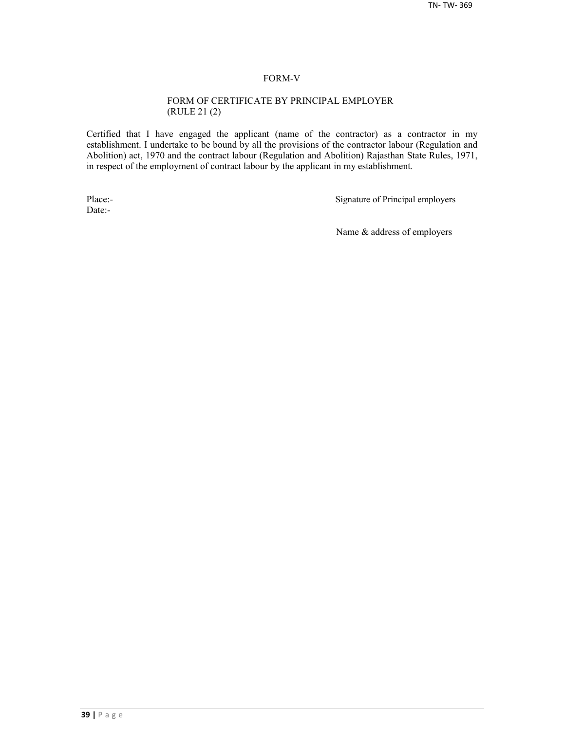#### FORM-V

#### FORM OF CERTIFICATE BY PRINCIPAL EMPLOYER (RULE 21 (2)

Certified that I have engaged the applicant (name of the contractor) as a contractor in my establishment. I undertake to be bound by all the provisions of the contractor labour (Regulation and Abolition) act, 1970 and the contract labour (Regulation and Abolition) Rajasthan State Rules, 1971, in respect of the employment of contract labour by the applicant in my establishment.

Date:-

Place:-<br>
Signature of Principal employers

Name & address of employers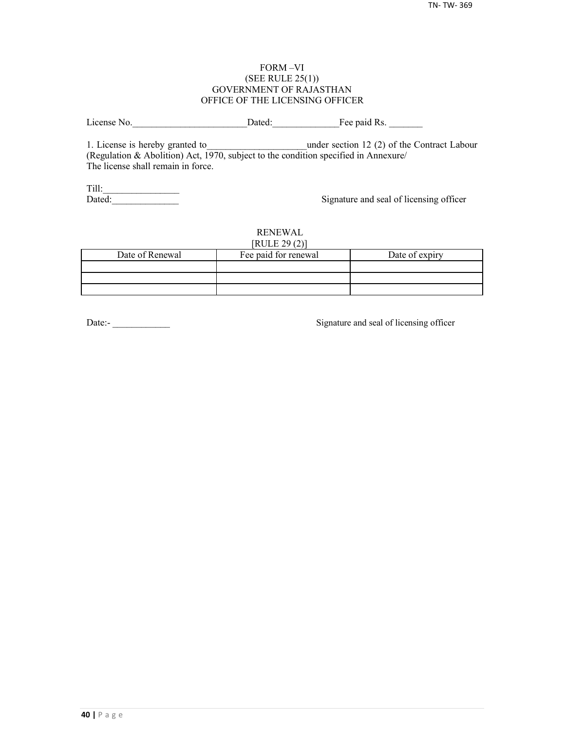#### FORM –VI (SEE RULE 25(1)) GOVERNMENT OF RAJASTHAN OFFICE OF THE LICENSING OFFICER

License No. 2012 Dated: The paid Rs.

1. License is hereby granted to **the under section 12 (2) of the Contract Labour** (Regulation & Abolition) Act, 1970, subject to the condition specified in Annexure/ The license shall remain in force.

Till:\_\_\_\_\_\_\_\_\_\_\_\_\_\_\_\_

Signature and seal of licensing officer

#### RENEWAL  $[PHH]$   $[20(2)]$

| NULEZ9(2)       |                      |                |  |  |  |  |  |
|-----------------|----------------------|----------------|--|--|--|--|--|
| Date of Renewal | Fee paid for renewal | Date of expiry |  |  |  |  |  |
|                 |                      |                |  |  |  |  |  |
|                 |                      |                |  |  |  |  |  |
|                 |                      |                |  |  |  |  |  |

Date:-<br>
Signature and seal of licensing officer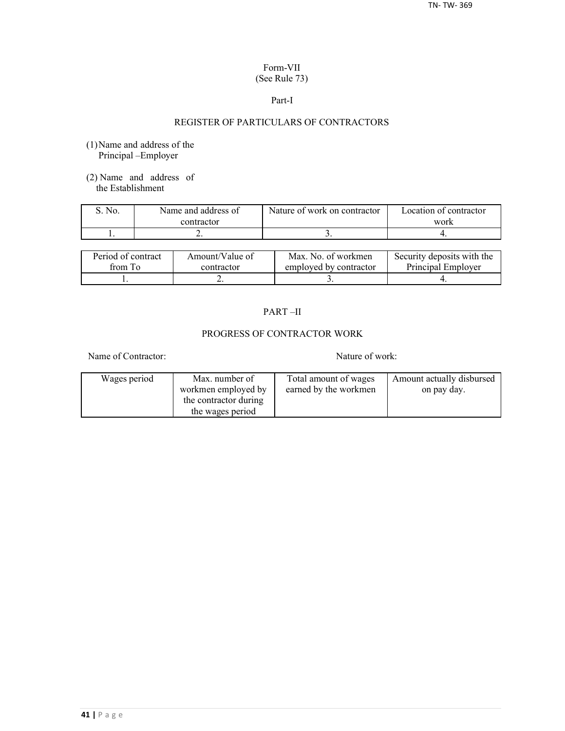#### Form-VII (See Rule 73)

#### Part-I

## REGISTER OF PARTICULARS OF CONTRACTORS

- (1)Name and address of the Principal –Employer
- (2) Name and address of the Establishment

| No. | Name and address of | Nature of work on contractor | Location of contractor |  |
|-----|---------------------|------------------------------|------------------------|--|
|     | contractor          |                              | work                   |  |
|     | . .                 |                              |                        |  |

| Period of contract | Amount/Value of | Max. No. of workmen    | Security deposits with the |
|--------------------|-----------------|------------------------|----------------------------|
| from To            | contractor      | employed by contractor | Principal Employer         |
|                    | ∸               |                        |                            |

## PART –II

## PROGRESS OF CONTRACTOR WORK

Name of Contractor: Nature of work:

| Wages period | Max. number of        | Total amount of wages | Amount actually disbursed |
|--------------|-----------------------|-----------------------|---------------------------|
|              | workmen employed by   | earned by the workmen | on pay day.               |
|              | the contractor during |                       |                           |
|              | the wages period      |                       |                           |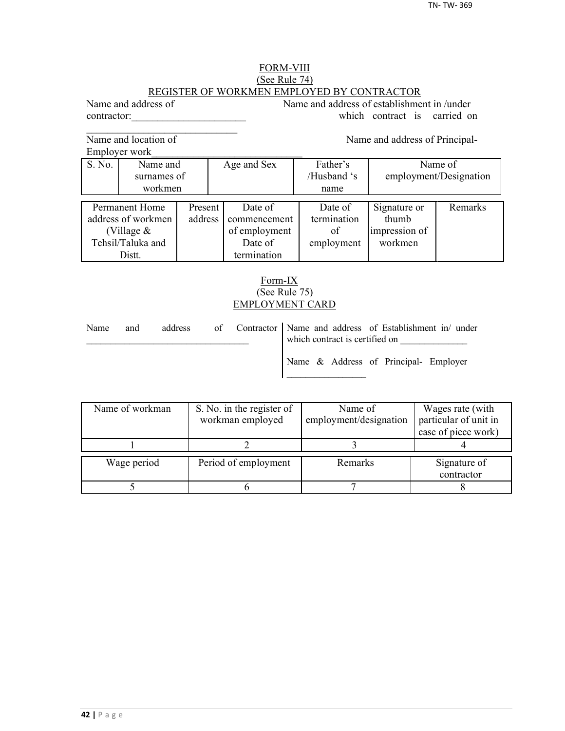## FORM-VIII (See Rule 74) REGISTER OF WORKMEN EMPLOYED BY CONTRACTOR

Name and address of Name and address of establishment in /under contractor: which contract is carried on

Name and location of Name and address of Principal-

 $\mathcal{L}_\text{max}$ 

Employer work\_\_\_\_\_\_\_\_\_\_\_\_\_\_\_\_\_\_\_\_\_\_\_\_\_\_\_\_\_

|                    | EIIIDIOVU WOIK |         |               |             |                        |         |  |
|--------------------|----------------|---------|---------------|-------------|------------------------|---------|--|
| S. No.             | Name and       |         | Age and Sex   | Father's    | Name of                |         |  |
|                    | surnames of    |         |               | /Husband 's | employment/Designation |         |  |
|                    | workmen        |         |               | name        |                        |         |  |
|                    |                |         |               |             |                        |         |  |
| Permanent Home     |                | Present | Date of       | Date of     | Signature or           | Remarks |  |
| address of workmen |                | address | commencement  | termination | thumb                  |         |  |
| (Village $&$       |                |         | of employment | of          | impression of          |         |  |
| Tehsil/Taluka and  |                |         | Date of       | employment  | workmen                |         |  |
|                    | Distt.         |         | termination   |             |                        |         |  |

## Form-IX (See Rule 75) EMPLOYMENT CARD

| Name | and | address |  | of Contractor   Name and address of Establishment in/ under<br>which contract is certified on |  |  |
|------|-----|---------|--|-----------------------------------------------------------------------------------------------|--|--|
|      |     |         |  | Name & Address of Principal- Employer                                                         |  |  |

| Name of workman | S. No. in the register of | Name of                | Wages rate (with      |
|-----------------|---------------------------|------------------------|-----------------------|
|                 | workman employed          | employment/designation | particular of unit in |
|                 |                           |                        | case of piece work)   |
|                 |                           |                        |                       |
| Wage period     | Period of employment      | Remarks                | Signature of          |
|                 |                           |                        |                       |
|                 |                           |                        | contractor            |
|                 |                           |                        |                       |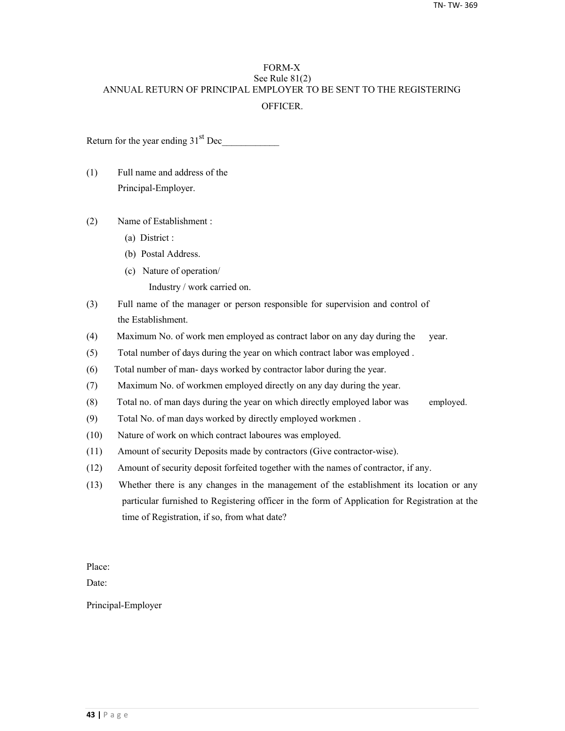## FORM-X See Rule 81(2) ANNUAL RETURN OF PRINCIPAL EMPLOYER TO BE SENT TO THE REGISTERING **OFFICER**

Return for the year ending  $31<sup>st</sup>$  Dec

- (1) Full name and address of the Principal-Employer.
- (2) Name of Establishment :
	- (a) District :
	- (b) Postal Address.
	- (c) Nature of operation/
		- Industry / work carried on.
- (3) Full name of the manager or person responsible for supervision and control of the Establishment.
- (4) Maximum No. of work men employed as contract labor on any day during the year.
- (5) Total number of days during the year on which contract labor was employed .
- (6) Total number of man- days worked by contractor labor during the year.
- (7) Maximum No. of workmen employed directly on any day during the year.
- (8) Total no. of man days during the year on which directly employed labor was employed.
- (9) Total No. of man days worked by directly employed workmen .
- (10) Nature of work on which contract laboures was employed.
- (11) Amount of security Deposits made by contractors (Give contractor-wise).
- (12) Amount of security deposit forfeited together with the names of contractor, if any.
- (13) Whether there is any changes in the management of the establishment its location or any particular furnished to Registering officer in the form of Application for Registration at the time of Registration, if so, from what date?

Place:

Date:

Principal-Employer